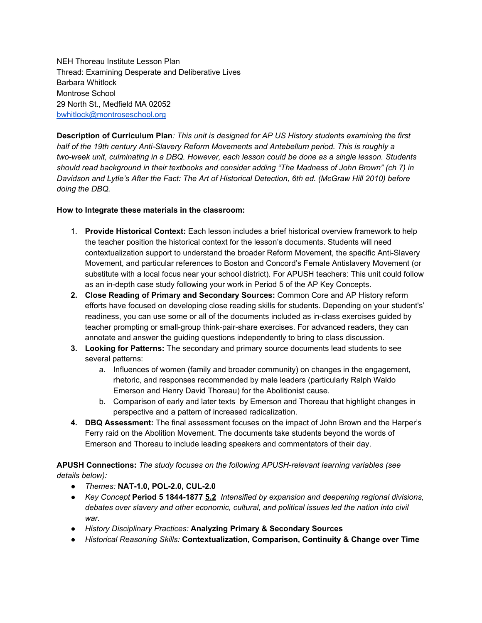NEH Thoreau Institute Lesson Plan Thread: Examining Desperate and Deliberative Lives Barbara Whitlock Montrose School 29 North St., Medfield MA 02052 [bwhitlock@montroseschool.org](mailto:bwhitlock@montroseschool.org)

**Description of Curriculum Plan***: This unit is designed for AP US History students examining the first half of the 19th century Anti-Slavery Reform Movements and Antebellum period. This is roughly a two-week unit, culminating in a DBQ. However, each lesson could be done as a single lesson. Students should read background in their textbooks and consider adding "The Madness of John Brown" (ch 7) in Davidson and Lytle's After the Fact: The Art of Historical Detection, 6th ed. (McGraw Hill 2010) before doing the DBQ.*

### **How to Integrate these materials in the classroom:**

- 1. **Provide Historical Context:** Each lesson includes a brief historical overview framework to help the teacher position the historical context for the lesson's documents. Students will need contextualization support to understand the broader Reform Movement, the specific Anti-Slavery Movement, and particular references to Boston and Concord's Female Antislavery Movement (or substitute with a local focus near your school district). For APUSH teachers: This unit could follow as an in-depth case study following your work in Period 5 of the AP Key Concepts.
- **2. Close Reading of Primary and Secondary Sources:** Common Core and AP History reform efforts have focused on developing close reading skills for students. Depending on your student's' readiness, you can use some or all of the documents included as in-class exercises guided by teacher prompting or small-group think-pair-share exercises. For advanced readers, they can annotate and answer the guiding questions independently to bring to class discussion.
- **3. Looking for Patterns:** The secondary and primary source documents lead students to see several patterns:
	- a. Influences of women (family and broader community) on changes in the engagement, rhetoric, and responses recommended by male leaders (particularly Ralph Waldo Emerson and Henry David Thoreau) for the Abolitionist cause.
	- b. Comparison of early and later texts by Emerson and Thoreau that highlight changes in perspective and a pattern of increased radicalization.
- **4. DBQ Assessment:** The final assessment focuses on the impact of John Brown and the Harper's Ferry raid on the Abolition Movement. The documents take students beyond the words of Emerson and Thoreau to include leading speakers and commentators of their day.

**APUSH Connections:** *The study focuses on the following APUSH-relevant learning variables (see details below):*

- *● Themes:* **NAT-1.0, POL-2.0, CUL-2.0**
- *● Key Concept* **Period 5 1844-1877 5.2** *Intensified by expansion and deepening regional divisions, debates over slavery and other economic, cultural, and political issues led the nation into civil war.*
- *● History Disciplinary Practices:* **Analyzing Primary & Secondary Sources**
- *● Historical Reasoning Skills:* **Contextualization, Comparison, Continuity & Change over Time**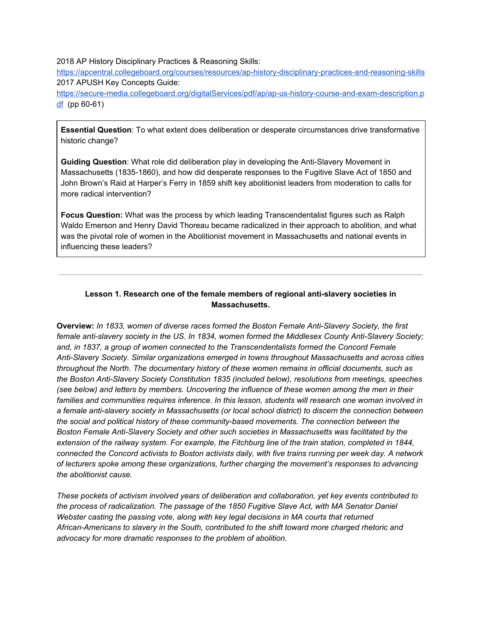2018 AP History Disciplinary Practices & Reasoning Skills:

<https://apcentral.collegeboard.org/courses/resources/ap-history-disciplinary-practices-and-reasoning-skills> 2017 APUSH Key Concepts Guide:

[https://secure-media.collegeboard.org/digitalServices/pdf/ap/ap-us-history-course-and-exam-description.p](https://secure-media.collegeboard.org/digitalServices/pdf/ap/ap-us-history-course-and-exam-description.pdf)  $df$  (pp 60-61)

**Essential Question**: To what extent does deliberation or desperate circumstances drive transformative historic change?

**Guiding Question**: What role did deliberation play in developing the Anti-Slavery Movement in Massachusetts (1835-1860), and how did desperate responses to the Fugitive Slave Act of 1850 and John Brown's Raid at Harper's Ferry in 1859 shift key abolitionist leaders from moderation to calls for more radical intervention?

**Focus Question:** What was the process by which leading Transcendentalist figures such as Ralph Waldo Emerson and Henry David Thoreau became radicalized in their approach to abolition, and what was the pivotal role of women in the Abolitionist movement in Massachusetts and national events in influencing these leaders?

## **Lesson 1. Research one of the female members of regional anti-slavery societies in Massachusetts.**

**Overview:** *In 1833, women of diverse races formed the Boston Female Anti-Slavery Society, the first female anti-slavery society in the US. In 1834, women formed the Middlesex County Anti-Slavery Society; and, in 1837, a group of women connected to the Transcendentalists formed the Concord Female Anti-Slavery Society. Similar organizations emerged in towns throughout Massachusetts and across cities throughout the North. The documentary history of these women remains in official documents, such as the Boston Anti-Slavery Society Constitution 1835 (included below), resolutions from meetings, speeches (see below) and letters by members. Uncovering the influence of these women among the men in their families and communities requires inference. In this lesson, students will research one woman involved in a female anti-slavery society in Massachusetts (or local school district) to discern the connection between the social and political history of these community-based movements. The connection between the Boston Female Anti-Slavery Society and other such societies in Massachusetts was facilitated by the extension of the railway system. For example, the Fitchburg line of the train station, completed in 1844,* connected the Concord activists to Boston activists daily, with five trains running per week day. A network *of lecturers spoke among these organizations, further charging the movement's responses to advancing the abolitionist cause.*

*These pockets of activism involved years of deliberation and collaboration, yet key events contributed to the process of radicalization. The passage of the 1850 Fugitive Slave Act, with MA Senator Daniel Webster casting the passing vote, along with key legal decisions in MA courts that returned African-Americans to slavery in the South, contributed to the shift toward more charged rhetoric and advocacy for more dramatic responses to the problem of abolition.*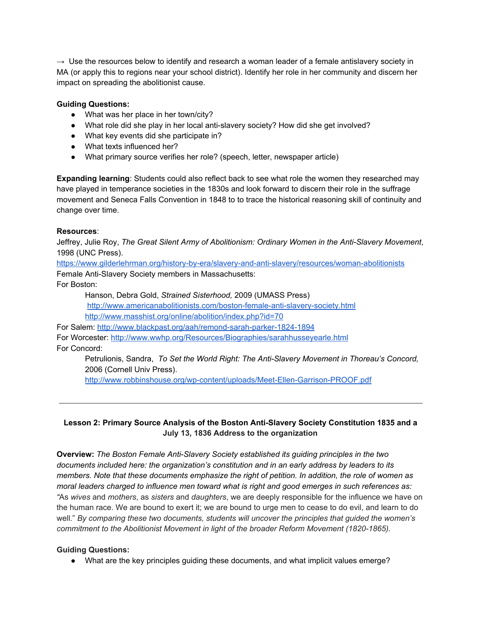$\rightarrow$  Use the resources below to identify and research a woman leader of a female antislavery society in MA (or apply this to regions near your school district). Identify her role in her community and discern her impact on spreading the abolitionist cause.

### **Guiding Questions:**

- What was her place in her town/city?
- What role did she play in her local anti-slavery society? How did she get involved?
- What key events did she participate in?
- What texts influenced her?
- What primary source verifies her role? (speech, letter, newspaper article)

**Expanding learning**: Students could also reflect back to see what role the women they researched may have played in temperance societies in the 1830s and look forward to discern their role in the suffrage movement and Seneca Falls Convention in 1848 to to trace the historical reasoning skill of continuity and change over time.

#### **Resources**:

Jeffrey, Julie Roy, *The Great Silent Army of Abolitionism: Ordinary Women in the Anti-Slavery Movement*, 1998 (UNC Press).

<https://www.gilderlehrman.org/history-by-era/slavery-and-anti-slavery/resources/woman-abolitionists> Female Anti-Slavery Society members in Massachusetts:

For Boston:

Hanson, Debra Gold, *Strained Sisterhood,* 2009 (UMASS Press) <http://www.americanabolitionists.com/boston-female-anti-slavery-society.html> <http://www.masshist.org/online/abolition/index.php?id=70>

For Salem: <http://www.blackpast.org/aah/remond-sarah-parker-1824-1894> For Worcester: <http://www.wwhp.org/Resources/Biographies/sarahhusseyearle.html> For Concord:

Petrulionis, Sandra, *To Set the World Right: The Anti-Slavery Movement in Thoreau's Concord,* 2006 (Cornell Univ Press).

<http://www.robbinshouse.org/wp-content/uploads/Meet-Ellen-Garrison-PROOF.pdf>

### **Lesson 2: Primary Source Analysis of the Boston Anti-Slavery Society Constitution 1835 and a July 13, 1836 Address to the organization**

**Overview:** *The Boston Female Anti-Slavery Society established its guiding principles in the two documents included here: the organization's constitution and in an early address by leaders to its members. Note that these documents emphasize the right of petition. In addition, the role of women as moral leaders charged to influence men toward what is right and good emerges in such references as: "*As *wives* and *mothers*, as *sisters* and *daughters*, we are deeply responsible for the influence we have on the human race. We are bound to exert it; we are bound to urge men to cease to do evil, and learn to do well." *By comparing these two documents, students will uncover the principles that guided the women's commitment to the Abolitionist Movement in light of the broader Reform Movement (1820-1865).*

### **Guiding Questions:**

• What are the key principles guiding these documents, and what implicit values emerge?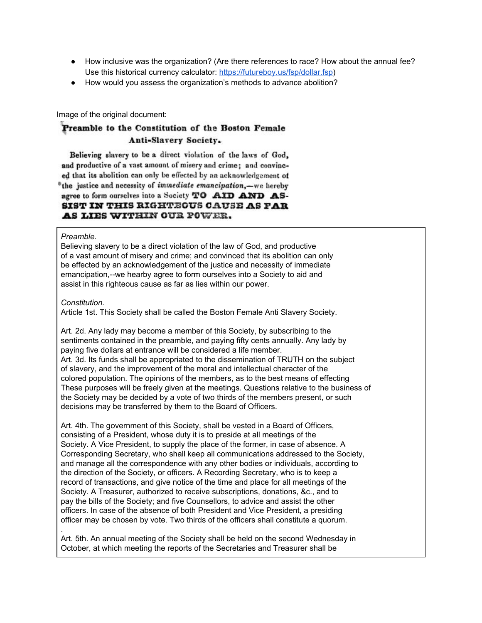- How inclusive was the organization? (Are there references to race? How about the annual fee? Use this historical currency calculator: [https://futureboy.us/fsp/dollar.fsp\)](https://futureboy.us/fsp/dollar.fsp)
- How would you assess the organization's methods to advance abolition?

Image of the original document:

# Preamble to the Constitution of the Boston Female Anti-Slavery Society.

Believing slavery to be a direct violation of the laws of God, and productive of a vast amount of misery and crime; and convinced that its abolition can only be effected by an acknowledgement of <sup>®</sup>the justice and necessity of *immediate emancipation*,—we hereby agree to form ourselves into a Society TO AID AND AS-SIST IN THIS RIGHTEOUS CAUSE AS FAR AS LIES WITHIN OUR POWER.

#### *Preamble.*

Believing slavery to be a direct violation of the law of God, and productive of a vast amount of misery and crime; and convinced that its abolition can only be effected by an acknowledgement of the justice and necessity of immediate emancipation,--we hearby agree to form ourselves into a Society to aid and assist in this righteous cause as far as lies within our power.

#### *Constitution.*

.

Article 1st. This Society shall be called the Boston Female Anti Slavery Society.

Art. 2d. Any lady may become a member of this Society, by subscribing to the sentiments contained in the preamble, and paying fifty cents annually. Any lady by paying five dollars at entrance will be considered a life member. Art. 3d. Its funds shall be appropriated to the dissemination of TRUTH on the subject of slavery, and the improvement of the moral and intellectual character of the colored population. The opinions of the members, as to the best means of effecting These purposes will be freely given at the meetings. Questions relative to the business of the Society may be decided by a vote of two thirds of the members present, or such decisions may be transferred by them to the Board of Officers.

Art. 4th. The government of this Society, shall be vested in a Board of Officers, consisting of a President, whose duty it is to preside at all meetings of the Society. A Vice President, to supply the place of the former, in case of absence. A Corresponding Secretary, who shall keep all communications addressed to the Society, and manage all the correspondence with any other bodies or individuals, according to the direction of the Society, or officers. A Recording Secretary, who is to keep a record of transactions, and give notice of the time and place for all meetings of the Society. A Treasurer, authorized to receive subscriptions, donations, &c., and to pay the bills of the Society; and five Counsellors, to advice and assist the other officers. In case of the absence of both President and Vice President, a presiding officer may be chosen by vote. Two thirds of the officers shall constitute a quorum.

Art. 5th. An annual meeting of the Society shall be held on the second Wednesday in October, at which meeting the reports of the Secretaries and Treasurer shall be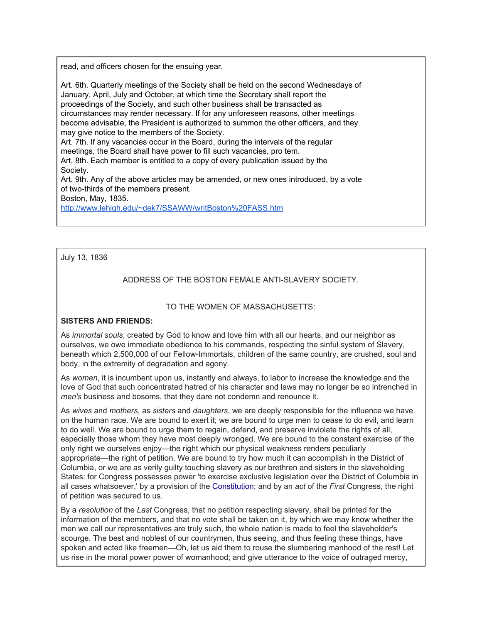read, and officers chosen for the ensuing year.

Art. 6th. Quarterly meetings of the Society shall be held on the second Wednesdays of January, April, July and October, at which time the Secretary shall report the proceedings of the Society, and such other business shall be transacted as circumstances may render necessary. If for any unforeseen reasons, other meetings become advisable, the President is authorized to summon the other officers, and they may give notice to the members of the Society. Art. 7th. If any vacancies occur in the Board, during the intervals of the regular meetings, the Board shall have power to fill such vacancies, pro tem. Art. 8th. Each member is entitled to a copy of every publication issued by the Society. Art. 9th. Any of the above articles may be amended, or new ones introduced, by a vote of two-thirds of the members present. Boston, May, 1835.

<http://www.lehigh.edu/~dek7/SSAWW/writBoston%20FASS.htm>

July 13, 1836

## ADDRESS OF THE BOSTON FEMALE ANTI-SLAVERY SOCIETY.

### TO THE WOMEN OF MASSACHUSETTS:

### **SISTERS AND FRIENDS:**

As *immortal souls*, created by God to know and love him with all our hearts, and our neighbor as ourselves, we owe immediate obedience to his commands, respecting the sinful system of Slavery, beneath which 2,500,000 of our Fellow-Immortals, children of the same country, are crushed, soul and body, in the extremity of degradation and agony.

As *women*, it is incumbent upon us, instantly and always, to labor to increase the knowledge and the love of God that such concentrated hatred of his character and laws may no longer be so intrenched in *men's* business and bosoms, that they dare not condemn and renounce it.

As *wives* and *mothers*, as *sisters* and *daughters*, we are deeply responsible for the influence we have on the human race. We are bound to exert it; we are bound to urge men to cease to do evil, and learn to do well. We are bound to urge them to regain, defend, and preserve inviolate the rights of all, especially those whom they have most deeply wronged. We are bound to the constant exercise of the only right we ourselves enjoy—the right which our physical weakness renders peculiarly appropriate—the right of petition. We are bound to try how much it can accomplish in the District of Columbia, or we are as verily guilty touching slavery as our brethren and sisters in the slaveholding States: for Congress possesses power 'to exercise exclusive legislation over the District of Columbia in all cases whatsoever,' by a provision of the [Constitution;](https://en.wikisource.org/wiki/Constitution_of_the_United_States_of_America) and by an *act* of the *First* Congress, the right of petition was secured to us.

By a *resolution* of the *Last* Congress, that no petition respecting slavery, shall be printed for the information of the members, and that no vote shall be taken on it, by which we may know whether the men we call our representatives are truly such, the whole nation is made to feel the slaveholder's scourge. The best and noblest of our countrymen, thus seeing, and thus feeling these things, have spoken and acted like freemen—Oh, let us aid them to rouse the slumbering manhood of the rest! Let us rise in the moral power power of womanhood; and give utterance to the voice of outraged mercy,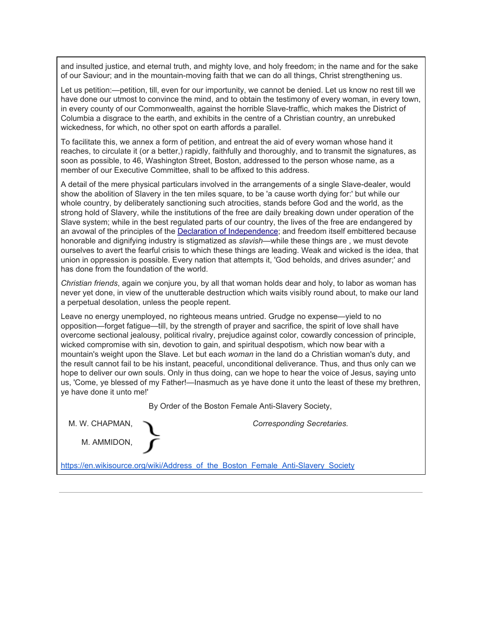and insulted justice, and eternal truth, and mighty love, and holy freedom; in the name and for the sake of our Saviour; and in the mountain-moving faith that we can do all things, Christ strengthening us.

Let us petition:—petition, till, even for our importunity, we cannot be denied. Let us know no rest till we have done our utmost to convince the mind, and to obtain the testimony of every woman, in every town, in every county of our Commonwealth, against the horrible Slave-traffic, which makes the District of Columbia a disgrace to the earth, and exhibits in the centre of a Christian country, an unrebuked wickedness, for which, no other spot on earth affords a parallel.

To facilitate this, we annex a form of petition, and entreat the aid of every woman whose hand it reaches, to circulate it (or a better,) rapidly, faithfully and thoroughly, and to transmit the signatures, as soon as possible, to 46, Washington Street, Boston, addressed to the person whose name, as a member of our Executive Committee, shall to be affixed to this address.

A detail of the mere physical particulars involved in the arrangements of a single Slave-dealer, would show the abolition of Slavery in the ten miles square, to be 'a cause worth dying for:' but while our whole country, by deliberately sanctioning such atrocities, stands before God and the world, as the strong hold of Slavery, while the institutions of the free are daily breaking down under operation of the Slave system; while in the best regulated parts of our country, the lives of the free are endangered by an avowal of the principles of the Declaration of [Independence;](https://en.wikisource.org/wiki/Declaration_of_Independence) and freedom itself embittered because honorable and dignifying industry is stigmatized as *slavish*—while these things are , we must devote ourselves to avert the fearful crisis to which these things are leading. Weak and wicked is the idea, that union in oppression is possible. Every nation that attempts it, 'God beholds, and drives asunder;' and has done from the foundation of the world.

*Christian friends*, again we conjure you, by all that woman holds dear and holy, to labor as woman has never yet done, in view of the unutterable destruction which waits visibly round about, to make our land a perpetual desolation, unless the people repent.

Leave no energy unemployed, no righteous means untried. Grudge no expense—yield to no opposition—forget fatigue—till, by the strength of prayer and sacrifice, the spirit of love shall have overcome sectional jealousy, political rivalry, prejudice against color, cowardly concession of principle, wicked compromise with sin, devotion to gain, and spiritual despotism, which now bear with a mountain's weight upon the Slave. Let but each *woman* in the land do a Christian woman's duty, and the result cannot fail to be his instant, peaceful, unconditional deliverance. Thus, and thus only can we hope to deliver our own souls. Only in thus doing, can we hope to hear the voice of Jesus, saying unto us, 'Come, ye blessed of my Father!—Inasmuch as ye have done it unto the least of these my brethren, ye have done it unto me!'

By Order of the Boston Female Anti-Slavery Society,

M. AMMIDON,

M. W. CHAPMAN, *Corresponding Secretaries.*

https://en.wikisource.org/wiki/Address of the Boston Female Anti-Slavery Society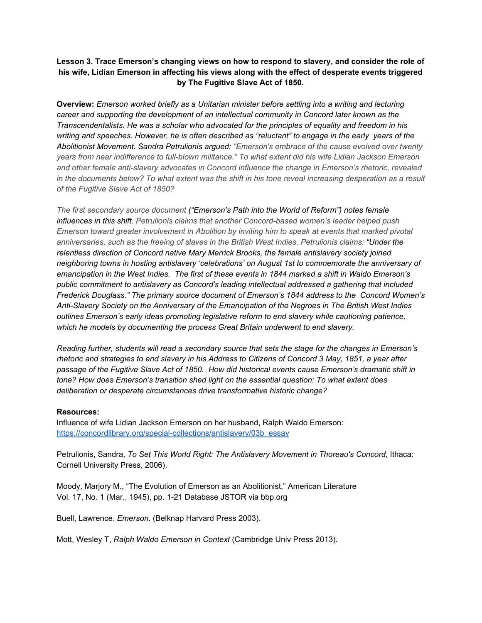## **Lesson 3. Trace Emerson's changing views on how to respond to slavery, and consider the role of his wife, Lidian Emerson in affecting his views along with the effect of desperate events triggered by The Fugitive Slave Act of 1850.**

**Overview:** *Emerson worked briefly as a Unitarian minister before settling into a writing and lecturing career and supporting the development of an intellectual community in Concord later known as the Transcendentalists. He was a scholar who advocated for the principles of equality and freedom in his* writing and speeches. However, he is often described as "reluctant" to engage in the early years of the *Abolitionist Movement. Sandra Petrulionis argued: "Emerson's embrace of the cause evolved over twenty years from near indifference to full-blown militance." To what extent did his wife Lidian Jackson Emerson and other female anti-slavery advocates in Concord influence the change in Emerson's rhetoric, revealed* in the documents below? To what extent was the shift in his tone reveal increasing desperation as a result *of the Fugitive Slave Act of 1850?*

*The first secondary source document ("Emerson's Path into the World of Reform") notes female influences in this shift. Petrulionis claims that another Concord-based women's leader helped push Emerson toward greater involvement in Abolition by inviting him to speak at events that marked pivotal anniversaries, such as the freeing of slaves in the British West Indies. Petrulionis claims: "Under the relentless direction of Concord native Mary Merrick Brooks, the female antislavery society joined neighboring towns in hosting antislavery 'celebrations' on August 1st to commemorate the anniversary of* emancipation in the West Indies. The first of these events in 1844 marked a shift in Waldo Emerson's *public commitment to antislavery as Concord's leading intellectual addressed a gathering that included Frederick Douglass." The primary source document of Emerson's 1844 address to the Concord Women's Anti-Slavery Society on the Anniversary of the Emancipation of the Negroes in The British West Indies outlines Emerson's early ideas promoting legislative reform to end slavery while cautioning patience, which he models by documenting the process Great Britain underwent to end slavery.*

*Reading further, students will read a secondary source that sets the stage for the changes in Emerson's* rhetoric and strategies to end slavery in his Address to Citizens of Concord 3 May, 1851, a year after *passage of the Fugitive Slave Act of 1850. How did historical events cause Emerson's dramatic shift in tone? How does Emerson's transition shed light on the essential question: To what extent does deliberation or desperate circumstances drive transformative historic change?*

### **Resources:**

Influence of wife Lidian Jackson Emerson on her husband, Ralph Waldo Emerson: [https://concordlibrary.org/special-collections/antislavery/03b\\_essay](https://concordlibrary.org/special-collections/antislavery/03b_essay)

Petrulionis, Sandra, *To Set This World Right: The Antislavery Movement in Thoreau's Concord*, Ithaca: Cornell University Press, 2006).

Moody, Marjory M., "The Evolution of Emerson as an Abolitionist," American Literature Vol. 17, No. 1 (Mar., 1945), pp. 1-21 Database JSTOR via bbp.org

Buell, Lawrence. *Emerson*. (Belknap Harvard Press 2003).

Mott, Wesley T, *Ralph Waldo Emerson in Context* (Cambridge Univ Press 2013).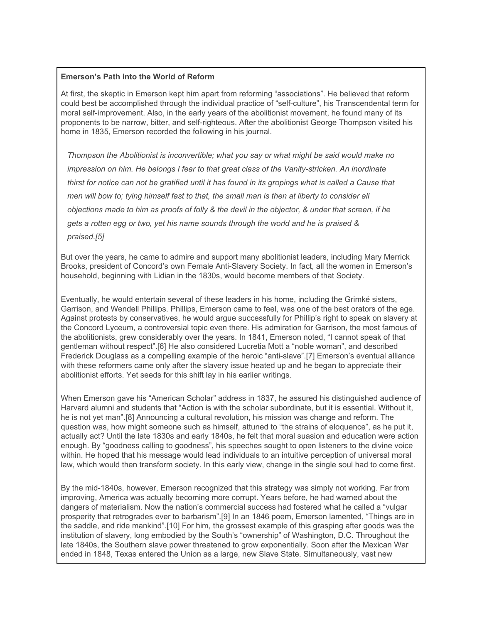### **Emerson's Path into the World of Reform**

At first, the skeptic in Emerson kept him apart from reforming "associations". He believed that reform could best be accomplished through the individual practice of "self-culture", his Transcendental term for moral self-improvement. Also, in the early years of the abolitionist movement, he found many of its proponents to be narrow, bitter, and self-righteous. After the abolitionist George Thompson visited his home in 1835, Emerson recorded the following in his journal.

*Thompson the Abolitionist is inconvertible; what you say or what might be said would make no impression on him. He belongs I fear to that great class of the Vanity-stricken. An inordinate* thirst for notice can not be gratified until it has found in its gropings what is called a Cause that men will bow to; tying himself fast to that, the small man is then at liberty to consider all objections made to him as proofs of folly & the devil in the objector, & under that screen, if he *gets a rotten egg or two, yet his name sounds through the world and he is praised & praised.[5]*

But over the years, he came to admire and support many abolitionist leaders, including Mary Merrick Brooks, president of Concord's own Female Anti-Slavery Society. In fact, all the women in Emerson's household, beginning with Lidian in the 1830s, would become members of that Society.

Eventually, he would entertain several of these leaders in his home, including the Grimké sisters, Garrison, and Wendell Phillips. Phillips, Emerson came to feel, was one of the best orators of the age. Against protests by conservatives, he would argue successfully for Phillip's right to speak on slavery at the Concord Lyceum, a controversial topic even there. His admiration for Garrison, the most famous of the abolitionists, grew considerably over the years. In 1841, Emerson noted, "I cannot speak of that gentleman without respect".[6] He also considered Lucretia Mott a "noble woman", and described Frederick Douglass as a compelling example of the heroic "anti-slave".[7] Emerson's eventual alliance with these reformers came only after the slavery issue heated up and he began to appreciate their abolitionist efforts. Yet seeds for this shift lay in his earlier writings.

When Emerson gave his "American Scholar" address in 1837, he assured his distinguished audience of Harvard alumni and students that "Action is with the scholar subordinate, but it is essential. Without it, he is not yet man".[8] Announcing a cultural revolution, his mission was change and reform. The question was, how might someone such as himself, attuned to "the strains of eloquence", as he put it, actually act? Until the late 1830s and early 1840s, he felt that moral suasion and education were action enough. By "goodness calling to goodness", his speeches sought to open listeners to the divine voice within. He hoped that his message would lead individuals to an intuitive perception of universal moral law, which would then transform society. In this early view, change in the single soul had to come first.

By the mid-1840s, however, Emerson recognized that this strategy was simply not working. Far from improving, America was actually becoming more corrupt. Years before, he had warned about the dangers of materialism. Now the nation's commercial success had fostered what he called a "vulgar prosperity that retrogrades ever to barbarism".[9] In an 1846 poem, Emerson lamented, "Things are in the saddle, and ride mankind".[10] For him, the grossest example of this grasping after goods was the institution of slavery, long embodied by the South's "ownership" of Washington, D.C. Throughout the late 1840s, the Southern slave power threatened to grow exponentially. Soon after the Mexican War ended in 1848, Texas entered the Union as a large, new Slave State. Simultaneously, vast new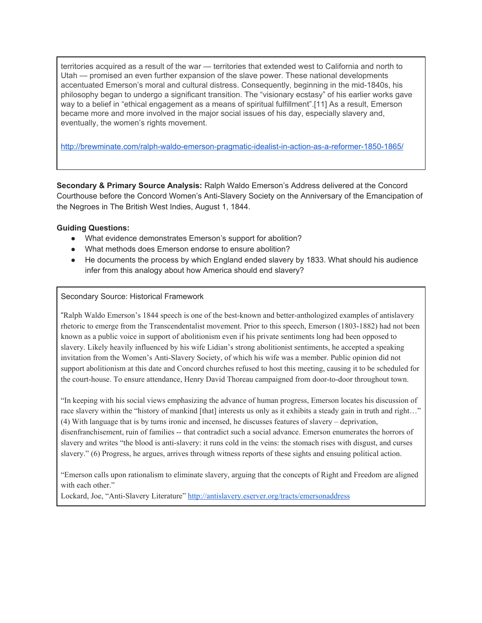territories acquired as a result of the war — territories that extended west to California and north to Utah — promised an even further expansion of the slave power. These national developments accentuated Emerson's moral and cultural distress. Consequently, beginning in the mid-1840s, his philosophy began to undergo a significant transition. The "visionary ecstasy" of his earlier works gave way to a belief in "ethical engagement as a means of spiritual fulfillment".[11] As a result, Emerson became more and more involved in the major social issues of his day, especially slavery and, eventually, the women's rights movement.

<http://brewminate.com/ralph-waldo-emerson-pragmatic-idealist-in-action-as-a-reformer-1850-1865/>

**Secondary & Primary Source Analysis:** Ralph Waldo Emerson's Address delivered at the Concord Courthouse before the Concord Women's Anti-Slavery Society on the Anniversary of the Emancipation of the Negroes in The British West Indies, August 1, 1844.

### **Guiding Questions:**

- What evidence demonstrates Emerson's support for abolition?
- What methods does Emerson endorse to ensure abolition?
- He documents the process by which England ended slavery by 1833. What should his audience infer from this analogy about how America should end slavery?

Secondary Source: Historical Framework

"Ralph Waldo Emerson's 1844 speech is one of the best-known and better-anthologized examples of antislavery rhetoric to emerge from the Transcendentalist movement. Prior to this speech, Emerson (1803-1882) had not been known as a public voice in support of abolitionism even if his private sentiments long had been opposed to slavery. Likely heavily influenced by his wife Lidian's strong abolitionist sentiments, he accepted a speaking invitation from the Women's Anti-Slavery Society, of which his wife was a member. Public opinion did not support abolitionism at this date and Concord churches refused to host this meeting, causing it to be scheduled for the court-house. To ensure attendance, Henry David Thoreau campaigned from door-to-door throughout town.

"In keeping with his social views emphasizing the advance of human progress, Emerson locates his discussion of race slavery within the "history of mankind [that] interests us only as it exhibits a steady gain in truth and right..." (4) With language that is by turns ironic and incensed, he discusses features of slavery – deprivation, disenfranchisement, ruin of families -- that contradict such a social advance. Emerson enumerates the horrors of slavery and writes "the blood is anti-slavery: it runs cold in the veins: the stomach rises with disgust, and curses slavery." (6) Progress, he argues, arrives through witness reports of these sights and ensuing political action.

"Emerson calls upon rationalism to eliminate slavery, arguing that the concepts of Right and Freedom are aligned with each other."

Lockard, Joe, "Anti-Slavery Literature" <http://antislavery.eserver.org/tracts/emersonaddress>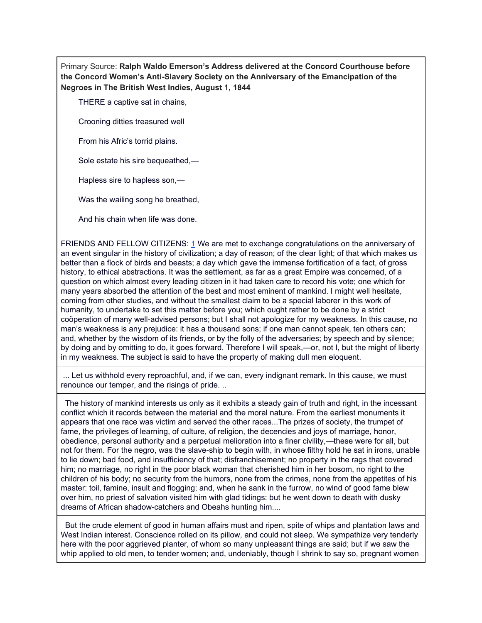Primary Source: **Ralph Waldo Emerson's Address delivered at the Concord Courthouse before the Concord Women's Anti-Slavery Society on the Anniversary of the Emancipation of the Negroes in The British West Indies, August 1, 1844**

THERE a captive sat in chains,

Crooning ditties treasured well

From his Afric's torrid plains.

Sole estate his sire bequeathed,—

Hapless sire to hapless son,—

Was the wailing song he breathed,

And his chain when life was done.

FRIENDS AND FELLOW CITIZENS: [1](http://www.bartleby.com/90/1104.html#note1104.1) We are met to exchange congratulations on the anniversary of an event singular in the history of civilization; a day of reason; of the clear light; of that which makes us better than a flock of birds and beasts; a day which gave the immense fortification of a fact, of gross history, to ethical abstractions. It was the settlement, as far as a great Empire was concerned, of a question on which almost every leading citizen in it had taken care to record his vote; one which for many years absorbed the attention of the best and most eminent of mankind. I might well hesitate, coming from other studies, and without the smallest claim to be a special laborer in this work of humanity, to undertake to set this matter before you; which ought rather to be done by a strict coöperation of many well-advised persons; but I shall not apologize for my weakness. In this cause, no man's weakness is any prejudice: it has a thousand sons; if one man cannot speak, ten others can; and, whether by the wisdom of its friends, or by the folly of the adversaries; by speech and by silence; by doing and by omitting to do, it goes forward. Therefore I will speak,—or, not I, but the might of liberty in my weakness. The subject is said to have the property of making dull men eloquent.

... Let us withhold every reproachful, and, if we can, every indignant remark. In this cause, we must renounce our temper, and the risings of pride. ..

The history of mankind interests us only as it exhibits a steady gain of truth and right, in the incessant conflict which it records between the material and the moral nature. From the earliest monuments it appears that one race was victim and served the other races...The prizes of society, the trumpet of fame, the privileges of learning, of culture, of religion, the decencies and joys of marriage, honor, obedience, personal authority and a perpetual melioration into a finer civility,—these were for all, but not for them. For the negro, was the slave-ship to begin with, in whose filthy hold he sat in irons, unable to lie down; bad food, and insufficiency of that; disfranchisement; no property in the rags that covered him; no marriage, no right in the poor black woman that cherished him in her bosom, no right to the children of his body; no security from the humors, none from the crimes, none from the appetites of his master: toil, famine, insult and flogging; and, when he sank in the furrow, no wind of good fame blew over him, no priest of salvation visited him with glad tidings: but he went down to death with dusky dreams of African shadow-catchers and Obeahs hunting him....

But the crude element of good in human affairs must and ripen, spite of whips and plantation laws and West Indian interest. Conscience rolled on its pillow, and could not sleep. We sympathize very tenderly here with the poor aggrieved planter, of whom so many unpleasant things are said; but if we saw the whip applied to old men, to tender women; and, undeniably, though I shrink to say so, pregnant women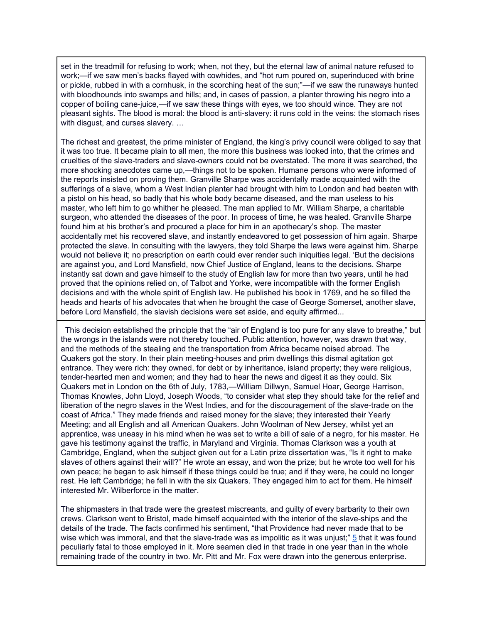set in the treadmill for refusing to work; when, not they, but the eternal law of animal nature refused to work;—if we saw men's backs flayed with cowhides, and "hot rum poured on, superinduced with brine or pickle, rubbed in with a cornhusk, in the scorching heat of the sun;"—if we saw the runaways hunted with bloodhounds into swamps and hills; and, in cases of passion, a planter throwing his negro into a copper of boiling cane-juice,—if we saw these things with eyes, we too should wince. They are not pleasant sights. The blood is moral: the blood is anti-slavery: it runs cold in the veins: the stomach rises with disgust, and curses slavery. …

The richest and greatest, the prime minister of England, the king's privy council were obliged to say that it was too true. It became plain to all men, the more this business was looked into, that the crimes and cruelties of the slave-traders and slave-owners could not be overstated. The more it was searched, the more shocking anecdotes came up,—things not to be spoken. Humane persons who were informed of the reports insisted on proving them. Granville Sharpe was accidentally made acquainted with the sufferings of a slave, whom a West Indian planter had brought with him to London and had beaten with a pistol on his head, so badly that his whole body became diseased, and the man useless to his master, who left him to go whither he pleased. The man applied to Mr. William Sharpe, a charitable surgeon, who attended the diseases of the poor. In process of time, he was healed. Granville Sharpe found him at his brother's and procured a place for him in an apothecary's shop. The master accidentally met his recovered slave, and instantly endeavored to get possession of him again. Sharpe protected the slave. In consulting with the lawyers, they told Sharpe the laws were against him. Sharpe would not believe it; no prescription on earth could ever render such iniquities legal. 'But the decisions are against you, and Lord Mansfield, now Chief Justice of England, leans to the decisions. Sharpe instantly sat down and gave himself to the study of English law for more than two years, until he had proved that the opinions relied on, of Talbot and Yorke, were incompatible with the former English decisions and with the whole spirit of English law. He published his book in 1769, and he so filled the heads and hearts of his advocates that when he brought the case of George Somerset, another slave, before Lord Mansfield, the slavish decisions were set aside, and equity affirmed...

This decision established the principle that the "air of England is too pure for any slave to breathe," but the wrongs in the islands were not thereby touched. Public attention, however, was drawn that way, and the methods of the stealing and the transportation from Africa became noised abroad. The Quakers got the story. In their plain meeting-houses and prim dwellings this dismal agitation got entrance. They were rich: they owned, for debt or by inheritance, island property; they were religious, tender-hearted men and women; and they had to hear the news and digest it as they could. Six Quakers met in London on the 6th of July, 1783,—William Dillwyn, Samuel Hoar, George Harrison, Thomas Knowles, John Lloyd, Joseph Woods, "to consider what step they should take for the relief and liberation of the negro slaves in the West Indies, and for the discouragement of the slave-trade on the coast of Africa." They made friends and raised money for the slave; they interested their Yearly Meeting; and all English and all American Quakers. John Woolman of New Jersey, whilst yet an apprentice, was uneasy in his mind when he was set to write a bill of sale of a negro, for his master. He gave his testimony against the traffic, in Maryland and Virginia. Thomas Clarkson was a youth at Cambridge, England, when the subject given out for a Latin prize dissertation was, "Is it right to make slaves of others against their will?" He wrote an essay, and won the prize; but he wrote too well for his own peace; he began to ask himself if these things could be true; and if they were, he could no longer rest. He left Cambridge; he fell in with the six Quakers. They engaged him to act for them. He himself interested Mr. Wilberforce in the matter.

The shipmasters in that trade were the greatest miscreants, and guilty of every barbarity to their own crews. Clarkson went to Bristol, made himself acquainted with the interior of the slave-ships and the details of the trade. The facts confirmed his sentiment, "that Providence had never made that to be wise which was immoral, and that the slave-trade was as impolitic as it was uniust;" [5](http://www.bartleby.com/90/1104.html#note1104.5) that it was found peculiarly fatal to those employed in it. More seamen died in that trade in one year than in the whole remaining trade of the country in two. Mr. Pitt and Mr. Fox were drawn into the generous enterprise.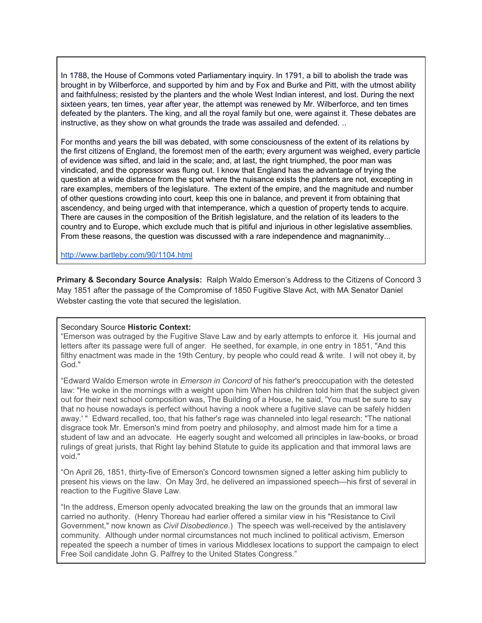In 1788, the House of Commons voted Parliamentary inquiry. In 1791, a bill to abolish the trade was brought in by Wilberforce, and supported by him and by Fox and Burke and Pitt, with the utmost ability and faithfulness; resisted by the planters and the whole West Indian interest, and lost. During the next sixteen years, ten times, year after year, the attempt was renewed by Mr. Wilberforce, and ten times defeated by the planters. The king, and all the royal family but one, were against it. These debates are instructive, as they show on what grounds the trade was assailed and defended. ..

For months and years the bill was debated, with some consciousness of the extent of its relations by the first citizens of England, the foremost men of the earth; every argument was weighed, every particle of evidence was sifted, and laid in the scale; and, at last, the right triumphed, the poor man was vindicated, and the oppressor was flung out. I know that England has the advantage of trying the question at a wide distance from the spot where the nuisance exists the planters are not, excepting in rare examples, members of the legislature. The extent of the empire, and the magnitude and number of other questions crowding into court, keep this one in balance, and prevent it from obtaining that ascendency, and being urged with that intemperance, which a question of property tends to acquire. There are causes in the composition of the British legislature, and the relation of its leaders to the country and to Europe, which exclude much that is pitiful and injurious in other legislative assemblies. From these reasons, the question was discussed with a rare independence and magnanimity...

<http://www.bartleby.com/90/1104.html>

**Primary & Secondary Source Analysis:** Ralph Waldo Emerson's Address to the Citizens of Concord 3 May 1851 after the passage of the Compromise of 1850 Fugitive Slave Act, with MA Senator Daniel Webster casting the vote that secured the legislation.

### Secondary Source **Historic Context:**

"Emerson was outraged by the Fugitive Slave Law and by early attempts to enforce it. His journal and letters after its passage were full of anger. He seethed, for example, in one entry in 1851, "And this filthy enactment was made in the 19th Century, by people who could read & write. I will not obey it, by God."

"Edward Waldo Emerson wrote in *Emerson in Concord* of his father's preoccupation with the detested law: "He woke in the mornings with a weight upon him When his children told him that the subject given out for their next school composition was, The Building of a House, he said, 'You must be sure to say that no house nowadays is perfect without having a nook where a fugitive slave can be safely hidden away.' " Edward recalled, too, that his father's rage was channeled into legal research: "The national disgrace took Mr. Emerson's mind from poetry and philosophy, and almost made him for a time a student of law and an advocate. He eagerly sought and welcomed all principles in law-books, or broad rulings of great jurists, that Right lay behind Statute to guide its application and that immoral laws are void."

"On April 26, 1851, thirty-five of Emerson's Concord townsmen signed a letter asking him publicly to present his views on the law. On May 3rd, he delivered an impassioned speech—his first of several in reaction to the Fugitive Slave Law.

"In the address, Emerson openly advocated breaking the law on the grounds that an immoral law carried no authority. (Henry Thoreau had earlier offered a similar view in his "Resistance to Civil Government," now known as *Civil Disobedience*.) The speech was well-received by the antislavery community. Although under normal circumstances not much inclined to political activism, Emerson repeated the speech a number of times in various Middlesex locations to support the campaign to elect Free Soil candidate John G. Palfrey to the United States Congress."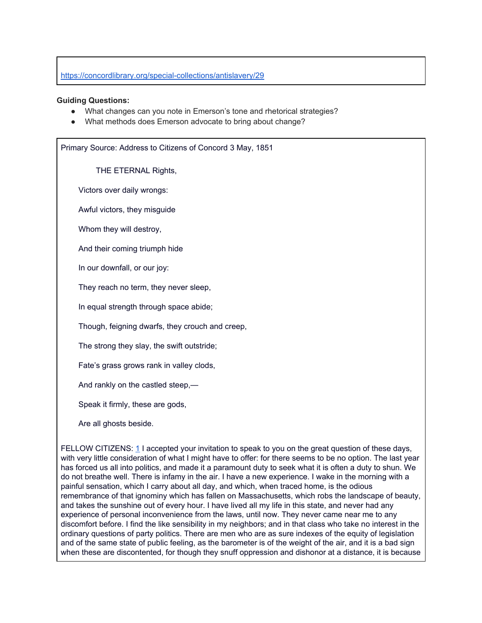## <https://concordlibrary.org/special-collections/antislavery/29>

#### **Guiding Questions:**

- What changes can you note in Emerson's tone and rhetorical strategies?
- What methods does Emerson advocate to bring about change?

Primary Source: Address to Citizens of Concord 3 May, 1851

THE ETERNAL Rights,

Victors over daily wrongs:

Awful victors, they misguide

Whom they will destroy,

And their coming triumph hide

In our downfall, or our joy:

They reach no term, they never sleep,

In equal strength through space abide;

Though, feigning dwarfs, they crouch and creep,

The strong they slay, the swift outstride;

Fate's grass grows rank in valley clods,

And rankly on the castled steep,—

Speak it firmly, these are gods,

Are all ghosts beside.

FELLOW CITIZENS: [1](http://www.bartleby.com/90/1106.html#note1106.1) I accepted your invitation to speak to you on the great question of these days, with very little consideration of what I might have to offer: for there seems to be no option. The last year has forced us all into politics, and made it a paramount duty to seek what it is often a duty to shun. We do not breathe well. There is infamy in the air. I have a new experience. I wake in the morning with a painful sensation, which I carry about all day, and which, when traced home, is the odious remembrance of that ignominy which has fallen on Massachusetts, which robs the landscape of beauty, and takes the sunshine out of every hour. I have lived all my life in this state, and never had any experience of personal inconvenience from the laws, until now. They never came near me to any discomfort before. I find the like sensibility in my neighbors; and in that class who take no interest in the ordinary questions of party politics. There are men who are as sure indexes of the equity of legislation and of the same state of public feeling, as the barometer is of the weight of the air, and it is a bad sign when these are discontented, for though they snuff oppression and dishonor at a distance, it is because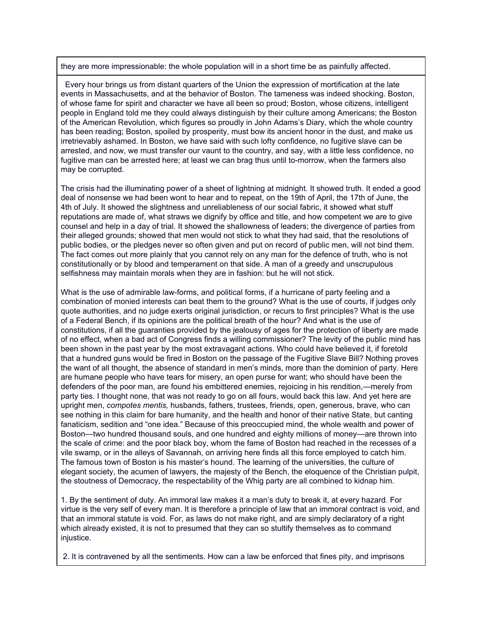they are more impressionable: the whole population will in a short time be as painfully affected.

Every hour brings us from distant quarters of the Union the expression of mortification at the late events in Massachusetts, and at the behavior of Boston. The tameness was indeed shocking. Boston, of whose fame for spirit and character we have all been so proud; Boston, whose citizens, intelligent people in England told me they could always distinguish by their culture among Americans; the Boston of the American Revolution, which figures so proudly in John Adams's Diary, which the whole country has been reading; Boston, spoiled by prosperity, must bow its ancient honor in the dust, and make us irretrievably ashamed. In Boston, we have said with such lofty confidence, no fugitive slave can be arrested, and now, we must transfer our vaunt to the country, and say, with a little less confidence, no fugitive man can be arrested here; at least we can brag thus until to-morrow, when the farmers also may be corrupted.

The crisis had the illuminating power of a sheet of lightning at midnight. It showed truth. It ended a good deal of nonsense we had been wont to hear and to repeat, on the 19th of April, the 17th of June, the 4th of July. It showed the slightness and unreliableness of our social fabric, it showed what stuff reputations are made of, what straws we dignify by office and title, and how competent we are to give counsel and help in a day of trial. It showed the shallowness of leaders; the divergence of parties from their alleged grounds; showed that men would not stick to what they had said, that the resolutions of public bodies, or the pledges never so often given and put on record of public men, will not bind them. The fact comes out more plainly that you cannot rely on any man for the defence of truth, who is not constitutionally or by blood and temperament on that side. A man of a greedy and unscrupulous selfishness may maintain morals when they are in fashion: but he will not stick.

What is the use of admirable law-forms, and political forms, if a hurricane of party feeling and a combination of monied interests can beat them to the ground? What is the use of courts, if judges only quote authorities, and no judge exerts original jurisdiction, or recurs to first principles? What is the use of a Federal Bench, if its opinions are the political breath of the hour? And what is the use of constitutions, if all the guaranties provided by the jealousy of ages for the protection of liberty are made of no effect, when a bad act of Congress finds a willing commissioner? The levity of the public mind has been shown in the past year by the most extravagant actions. Who could have believed it, if foretold that a hundred guns would be fired in Boston on the passage of the Fugitive Slave Bill? Nothing proves the want of all thought, the absence of standard in men's minds, more than the dominion of party. Here are humane people who have tears for misery, an open purse for want; who should have been the defenders of the poor man, are found his embittered enemies, rejoicing in his rendition,—merely from party ties. I thought none, that was not ready to go on all fours, would back this law. And yet here are upright men, *compotes mentis,* husbands, fathers, trustees, friends, open, generous, brave, who can see nothing in this claim for bare humanity, and the health and honor of their native State, but canting fanaticism, sedition and "one idea." Because of this preoccupied mind, the whole wealth and power of Boston—two hundred thousand souls, and one hundred and eighty millions of money—are thrown into the scale of crime: and the poor black boy, whom the fame of Boston had reached in the recesses of a vile swamp, or in the alleys of Savannah, on arriving here finds all this force employed to catch him. The famous town of Boston is his master's hound. The learning of the universities, the culture of elegant society, the acumen of lawyers, the majesty of the Bench, the eloquence of the Christian pulpit, the stoutness of Democracy, the respectability of the Whig party are all combined to kidnap him.

1. By the sentiment of duty. An immoral law makes it a man's duty to break it, at every hazard. For virtue is the very self of every man. It is therefore a principle of law that an immoral contract is void, and that an immoral statute is void. For, as laws do not make right, and are simply declaratory of a right which already existed, it is not to presumed that they can so stultify themselves as to command iniustice.

2. It is contravened by all the sentiments. How can a law be enforced that fines pity, and imprisons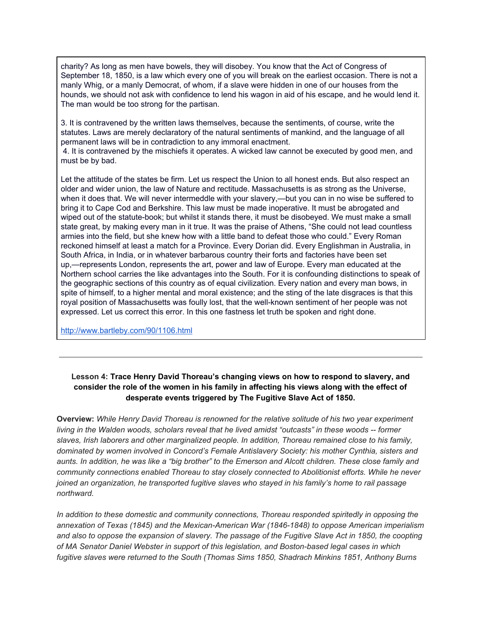charity? As long as men have bowels, they will disobey. You know that the Act of Congress of September 18, 1850, is a law which every one of you will break on the earliest occasion. There is not a manly Whig, or a manly Democrat, of whom, if a slave were hidden in one of our houses from the hounds, we should not ask with confidence to lend his wagon in aid of his escape, and he would lend it. The man would be too strong for the partisan.

3. It is contravened by the written laws themselves, because the sentiments, of course, write the statutes. Laws are merely declaratory of the natural sentiments of mankind, and the language of all permanent laws will be in contradiction to any immoral enactment.

4. It is contravened by the mischiefs it operates. A wicked law cannot be executed by good men, and must be by bad.

Let the attitude of the states be firm. Let us respect the Union to all honest ends. But also respect an older and wider union, the law of Nature and rectitude. Massachusetts is as strong as the Universe, when it does that. We will never intermeddle with your slavery,—but you can in no wise be suffered to bring it to Cape Cod and Berkshire. This law must be made inoperative. It must be abrogated and wiped out of the statute-book; but whilst it stands there, it must be disobeyed. We must make a small state great, by making every man in it true. It was the praise of Athens, "She could not lead countless armies into the field, but she knew how with a little band to defeat those who could." Every Roman reckoned himself at least a match for a Province. Every Dorian did. Every Englishman in Australia, in South Africa, in India, or in whatever barbarous country their forts and factories have been set up,—represents London, represents the art, power and law of Europe. Every man educated at the Northern school carries the like advantages into the South. For it is confounding distinctions to speak of the geographic sections of this country as of equal civilization. Every nation and every man bows, in spite of himself, to a higher mental and moral existence; and the sting of the late disgraces is that this royal position of Massachusetts was foully lost, that the well-known sentiment of her people was not expressed. Let us correct this error. In this one fastness let truth be spoken and right done.

<http://www.bartleby.com/90/1106.html>

## **Lesson 4: Trace Henry David Thoreau's changing views on how to respond to slavery, and consider the role of the women in his family in affecting his views along with the effect of desperate events triggered by The Fugitive Slave Act of 1850.**

**Overview:** *While Henry David Thoreau is renowned for the relative solitude of his two year experiment living in the Walden woods, scholars reveal that he lived amidst "outcasts" in these woods -- former slaves, Irish laborers and other marginalized people. In addition, Thoreau remained close to his family, dominated by women involved in Concord's Female Antislavery Society: his mother Cynthia, sisters and* aunts. In addition, he was like a "big brother" to the Emerson and Alcott children. These close family and *community connections enabled Thoreau to stay closely connected to Abolitionist efforts. While he never joined an organization, he transported fugitive slaves who stayed in his family's home to rail passage northward.*

*In addition to these domestic and community connections, Thoreau responded spiritedly in opposing the annexation of Texas (1845) and the Mexican-American War (1846-1848) to oppose American imperialism* and also to oppose the expansion of slavery. The passage of the Fugitive Slave Act in 1850, the coopting *of MA Senator Daniel Webster in support of this legislation, and Boston-based legal cases in which fugitive slaves were returned to the South (Thomas Sims 1850, Shadrach Minkins 1851, Anthony Burns*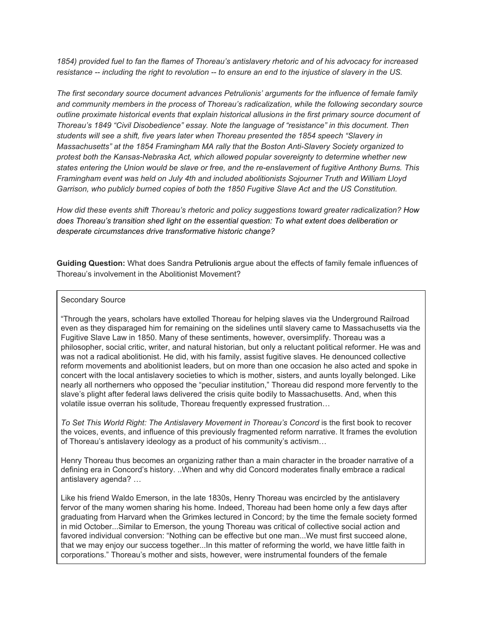*1854) provided fuel to fan the flames of Thoreau's antislavery rhetoric and of his advocacy for increased* resistance -- including the right to revolution -- to ensure an end to the injustice of slavery in the US.

*The first secondary source document advances Petrulionis' arguments for the influence of female family and community members in the process of Thoreau's radicalization, while the following secondary source outline proximate historical events that explain historical allusions in the first primary source document of Thoreau's 1849 "Civil Disobedience" essay. Note the language of "resistance" in this document. Then students will see a shift, five years later when Thoreau presented the 1854 speech "Slavery in Massachusetts" at the 1854 Framingham MA rally that the Boston Anti-Slavery Society organized to protest both the Kansas-Nebraska Act, which allowed popular sovereignty to determine whether new states entering the Union would be slave or free, and the re-enslavement of fugitive Anthony Burns. This Framingham event was held on July 4th and included abolitionists Sojourner Truth and William Lloyd Garrison, who publicly burned copies of both the 1850 Fugitive Slave Act and the US Constitution.*

*How did these events shift Thoreau's rhetoric and policy suggestions toward greater radicalization? How does Thoreau's transition shed light on the essential question: To what extent does deliberation or desperate circumstances drive transformative historic change?*

**Guiding Question:** What does Sandra Petrulionis argue about the effects of family female influences of Thoreau's involvement in the Abolitionist Movement?

#### Secondary Source

"Through the years, scholars have extolled Thoreau for helping slaves via the Underground Railroad even as they disparaged him for remaining on the sidelines until slavery came to Massachusetts via the Fugitive Slave Law in 1850. Many of these sentiments, however, oversimplify. Thoreau was a philosopher, social critic, writer, and natural historian, but only a reluctant political reformer. He was and was not a radical abolitionist. He did, with his family, assist fugitive slaves. He denounced collective reform movements and abolitionist leaders, but on more than one occasion he also acted and spoke in concert with the local antislavery societies to which is mother, sisters, and aunts loyally belonged. Like nearly all northerners who opposed the "peculiar institution," Thoreau did respond more fervently to the slave's plight after federal laws delivered the crisis quite bodily to Massachusetts. And, when this volatile issue overran his solitude, Thoreau frequently expressed frustration…

*To Set This World Right: The Antislavery Movement in Thoreau's Concord* is the first book to recover the voices, events, and influence of this previously fragmented reform narrative. It frames the evolution of Thoreau's antislavery ideology as a product of his community's activism…

Henry Thoreau thus becomes an organizing rather than a main character in the broader narrative of a defining era in Concord's history. ..When and why did Concord moderates finally embrace a radical antislavery agenda? …

Like his friend Waldo Emerson, in the late 1830s, Henry Thoreau was encircled by the antislavery fervor of the many women sharing his home. Indeed, Thoreau had been home only a few days after graduating from Harvard when the Grimkes lectured in Concord; by the time the female society formed in mid October...Similar to Emerson, the young Thoreau was critical of collective social action and favored individual conversion: "Nothing can be effective but one man...We must first succeed alone, that we may enjoy our success together...In this matter of reforming the world, we have little faith in corporations." Thoreau's mother and sists, however, were instrumental founders of the female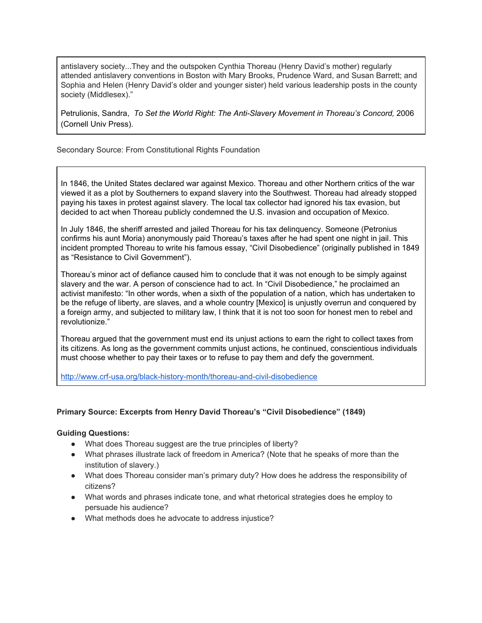antislavery society...They and the outspoken Cynthia Thoreau (Henry David's mother) regularly attended antislavery conventions in Boston with Mary Brooks, Prudence Ward, and Susan Barrett; and Sophia and Helen (Henry David's older and younger sister) held various leadership posts in the county society (Middlesex)."

Petrulionis, Sandra, *To Set the World Right: The Anti-Slavery Movement in Thoreau's Concord,* 2006 (Cornell Univ Press).

#### Secondary Source: From Constitutional Rights Foundation

In 1846, the United States declared war against Mexico. Thoreau and other Northern critics of the war viewed it as a plot by Southerners to expand slavery into the Southwest. Thoreau had already stopped paying his taxes in protest against slavery. The local tax collector had ignored his tax evasion, but decided to act when Thoreau publicly condemned the U.S. invasion and occupation of Mexico.

In July 1846, the sheriff arrested and jailed Thoreau for his tax delinquency. Someone (Petronius confirms his aunt Moria) anonymously paid Thoreau's taxes after he had spent one night in jail. This incident prompted Thoreau to write his famous essay, "Civil Disobedience" (originally published in 1849 as "Resistance to Civil Government").

Thoreau's minor act of defiance caused him to conclude that it was not enough to be simply against slavery and the war. A person of conscience had to act. In "Civil Disobedience," he proclaimed an activist manifesto: "In other words, when a sixth of the population of a nation, which has undertaken to be the refuge of liberty, are slaves, and a whole country [Mexico] is unjustly overrun and conquered by a foreign army, and subjected to military law, I think that it is not too soon for honest men to rebel and revolutionize."

Thoreau argued that the government must end its unjust actions to earn the right to collect taxes from its citizens. As long as the government commits unjust actions, he continued, conscientious individuals must choose whether to pay their taxes or to refuse to pay them and defy the government.

<http://www.crf-usa.org/black-history-month/thoreau-and-civil-disobedience>

### **Primary Source: Excerpts from Henry David Thoreau's "Civil Disobedience" (1849)**

#### **Guiding Questions:**

- What does Thoreau suggest are the true principles of liberty?
- What phrases illustrate lack of freedom in America? (Note that he speaks of more than the institution of slavery.)
- What does Thoreau consider man's primary duty? How does he address the responsibility of citizens?
- What words and phrases indicate tone, and what rhetorical strategies does he employ to persuade his audience?
- What methods does he advocate to address injustice?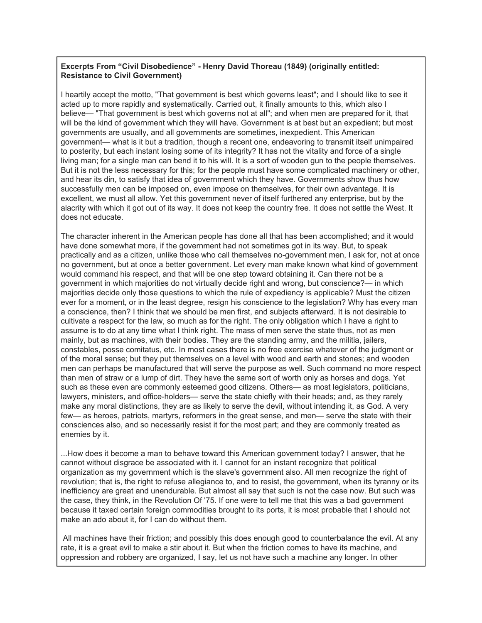### **Excerpts From "Civil Disobedience" - Henry David Thoreau (1849) (originally entitled: Resistance to Civil Government)**

I heartily accept the motto, "That government is best which governs least"; and I should like to see it acted up to more rapidly and systematically. Carried out, it finally amounts to this, which also I believe— "That government is best which governs not at all"; and when men are prepared for it, that will be the kind of government which they will have. Government is at best but an expedient; but most governments are usually, and all governments are sometimes, inexpedient. This American government— what is it but a tradition, though a recent one, endeavoring to transmit itself unimpaired to posterity, but each instant losing some of its integrity? It has not the vitality and force of a single living man; for a single man can bend it to his will. It is a sort of wooden gun to the people themselves. But it is not the less necessary for this; for the people must have some complicated machinery or other, and hear its din, to satisfy that idea of government which they have. Governments show thus how successfully men can be imposed on, even impose on themselves, for their own advantage. It is excellent, we must all allow. Yet this government never of itself furthered any enterprise, but by the alacrity with which it got out of its way. It does not keep the country free. It does not settle the West. It does not educate.

The character inherent in the American people has done all that has been accomplished; and it would have done somewhat more, if the government had not sometimes got in its way. But, to speak practically and as a citizen, unlike those who call themselves no-government men, I ask for, not at once no government, but at once a better government. Let every man make known what kind of government would command his respect, and that will be one step toward obtaining it. Can there not be a government in which majorities do not virtually decide right and wrong, but conscience?— in which majorities decide only those questions to which the rule of expediency is applicable? Must the citizen ever for a moment, or in the least degree, resign his conscience to the legislation? Why has every man a conscience, then? I think that we should be men first, and subjects afterward. It is not desirable to cultivate a respect for the law, so much as for the right. The only obligation which I have a right to assume is to do at any time what I think right. The mass of men serve the state thus, not as men mainly, but as machines, with their bodies. They are the standing army, and the militia, jailers, constables, posse comitatus, etc. In most cases there is no free exercise whatever of the judgment or of the moral sense; but they put themselves on a level with wood and earth and stones; and wooden men can perhaps be manufactured that will serve the purpose as well. Such command no more respect than men of straw or a lump of dirt. They have the same sort of worth only as horses and dogs. Yet such as these even are commonly esteemed good citizens. Others— as most legislators, politicians, lawyers, ministers, and office-holders— serve the state chiefly with their heads; and, as they rarely make any moral distinctions, they are as likely to serve the devil, without intending it, as God. A very few— as heroes, patriots, martyrs, reformers in the great sense, and men— serve the state with their consciences also, and so necessarily resist it for the most part; and they are commonly treated as enemies by it.

...How does it become a man to behave toward this American government today? I answer, that he cannot without disgrace be associated with it. I cannot for an instant recognize that political organization as my government which is the slave's government also. All men recognize the right of revolution; that is, the right to refuse allegiance to, and to resist, the government, when its tyranny or its inefficiency are great and unendurable. But almost all say that such is not the case now. But such was the case, they think, in the Revolution Of '75. If one were to tell me that this was a bad government because it taxed certain foreign commodities brought to its ports, it is most probable that I should not make an ado about it, for I can do without them.

All machines have their friction; and possibly this does enough good to counterbalance the evil. At any rate, it is a great evil to make a stir about it. But when the friction comes to have its machine, and oppression and robbery are organized, I say, let us not have such a machine any longer. In other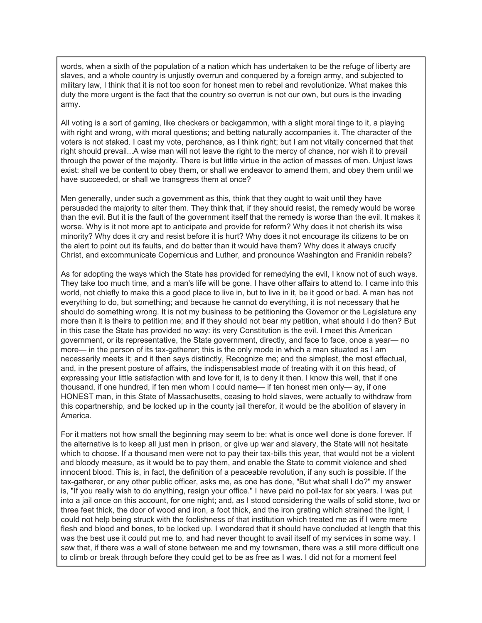words, when a sixth of the population of a nation which has undertaken to be the refuge of liberty are slaves, and a whole country is unjustly overrun and conquered by a foreign army, and subjected to military law, I think that it is not too soon for honest men to rebel and revolutionize. What makes this duty the more urgent is the fact that the country so overrun is not our own, but ours is the invading army.

All voting is a sort of gaming, like checkers or backgammon, with a slight moral tinge to it, a playing with right and wrong, with moral questions; and betting naturally accompanies it. The character of the voters is not staked. I cast my vote, perchance, as I think right; but I am not vitally concerned that that right should prevail...A wise man will not leave the right to the mercy of chance, nor wish it to prevail through the power of the majority. There is but little virtue in the action of masses of men. Unjust laws exist: shall we be content to obey them, or shall we endeavor to amend them, and obey them until we have succeeded, or shall we transgress them at once?

Men generally, under such a government as this, think that they ought to wait until they have persuaded the majority to alter them. They think that, if they should resist, the remedy would be worse than the evil. But it is the fault of the government itself that the remedy is worse than the evil. It makes it worse. Why is it not more apt to anticipate and provide for reform? Why does it not cherish its wise minority? Why does it cry and resist before it is hurt? Why does it not encourage its citizens to be on the alert to point out its faults, and do better than it would have them? Why does it always crucify Christ, and excommunicate Copernicus and Luther, and pronounce Washington and Franklin rebels?

As for adopting the ways which the State has provided for remedying the evil, I know not of such ways. They take too much time, and a man's life will be gone. I have other affairs to attend to. I came into this world, not chiefly to make this a good place to live in, but to live in it, be it good or bad. A man has not everything to do, but something; and because he cannot do everything, it is not necessary that he should do something wrong. It is not my business to be petitioning the Governor or the Legislature any more than it is theirs to petition me; and if they should not bear my petition, what should I do then? But in this case the State has provided no way: its very Constitution is the evil. I meet this American government, or its representative, the State government, directly, and face to face, once a year— no more— in the person of its tax-gatherer; this is the only mode in which a man situated as I am necessarily meets it; and it then says distinctly, Recognize me; and the simplest, the most effectual, and, in the present posture of affairs, the indispensablest mode of treating with it on this head, of expressing your little satisfaction with and love for it, is to deny it then. I know this well, that if one thousand, if one hundred, if ten men whom I could name— if ten honest men only— ay, if one HONEST man, in this State of Massachusetts, ceasing to hold slaves, were actually to withdraw from this copartnership, and be locked up in the county jail therefor, it would be the abolition of slavery in America.

For it matters not how small the beginning may seem to be: what is once well done is done forever. If the alternative is to keep all just men in prison, or give up war and slavery, the State will not hesitate which to choose. If a thousand men were not to pay their tax-bills this year, that would not be a violent and bloody measure, as it would be to pay them, and enable the State to commit violence and shed innocent blood. This is, in fact, the definition of a peaceable revolution, if any such is possible. If the tax-gatherer, or any other public officer, asks me, as one has done, "But what shall I do?" my answer is, "If you really wish to do anything, resign your office." I have paid no poll-tax for six years. I was put into a jail once on this account, for one night; and, as I stood considering the walls of solid stone, two or three feet thick, the door of wood and iron, a foot thick, and the iron grating which strained the light, I could not help being struck with the foolishness of that institution which treated me as if I were mere flesh and blood and bones, to be locked up. I wondered that it should have concluded at length that this was the best use it could put me to, and had never thought to avail itself of my services in some way. I saw that, if there was a wall of stone between me and my townsmen, there was a still more difficult one to climb or break through before they could get to be as free as I was. I did not for a moment feel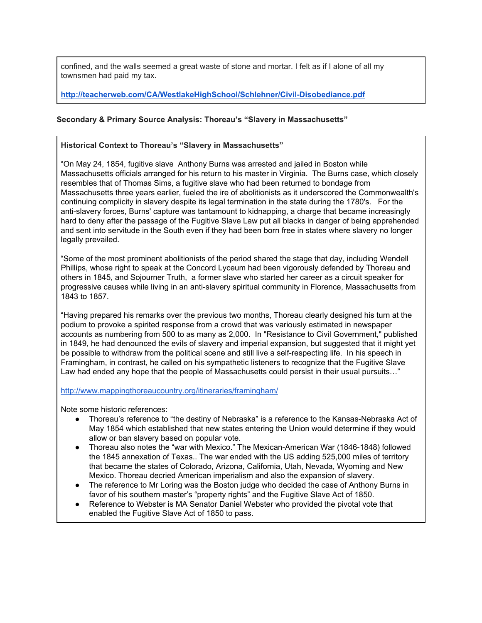confined, and the walls seemed a great waste of stone and mortar. I felt as if I alone of all my townsmen had paid my tax.

**<http://teacherweb.com/CA/WestlakeHighSchool/Schlehner/Civil-Disobediance.pdf>**

### **Secondary & Primary Source Analysis: Thoreau's "Slavery in Massachusetts"**

### **Historical Context to Thoreau's "Slavery in Massachusetts"**

"On May 24, 1854, fugitive slave Anthony Burns was arrested and jailed in Boston while Massachusetts officials arranged for his return to his master in Virginia. The Burns case, which closely resembles that of Thomas Sims, a fugitive slave who had been returned to bondage from Massachusetts three years earlier, fueled the ire of abolitionists as it underscored the Commonwealth's continuing complicity in slavery despite its legal termination in the state during the 1780's. For the anti-slavery forces, Burns' capture was tantamount to kidnapping, a charge that became increasingly hard to deny after the passage of the Fugitive Slave Law put all blacks in danger of being apprehended and sent into servitude in the South even if they had been born free in states where slavery no longer legally prevailed.

"Some of the most prominent abolitionists of the period shared the stage that day, including Wendell Phillips, whose right to speak at the Concord Lyceum had been vigorously defended by Thoreau and others in 1845, and Sojourner Truth, a former slave who started her career as a circuit speaker for progressive causes while living in an anti-slavery spiritual community in Florence, Massachusetts from 1843 to 1857.

"Having prepared his remarks over the previous two months, Thoreau clearly designed his turn at the podium to provoke a spirited response from a crowd that was variously estimated in newspaper accounts as numbering from 500 to as many as 2,000. In "Resistance to Civil Government," published in 1849, he had denounced the evils of slavery and imperial expansion, but suggested that it might yet be possible to withdraw from the political scene and still live a self-respecting life. In his speech in Framingham, in contrast, he called on his sympathetic listeners to recognize that the Fugitive Slave Law had ended any hope that the people of Massachusetts could persist in their usual pursuits…"

#### <http://www.mappingthoreaucountry.org/itineraries/framingham/>

Note some historic references:

- Thoreau's reference to "the destiny of Nebraska" is a reference to the Kansas-Nebraska Act of May 1854 which established that new states entering the Union would determine if they would allow or ban slavery based on popular vote.
- Thoreau also notes the "war with Mexico." The Mexican-American War (1846-1848) followed the 1845 annexation of Texas.. The war ended with the US adding 525,000 miles of territory that became the states of Colorado, Arizona, California, Utah, Nevada, Wyoming and New Mexico. Thoreau decried American imperialism and also the expansion of slavery.
- The reference to Mr Loring was the Boston judge who decided the case of Anthony Burns in favor of his southern master's "property rights" and the Fugitive Slave Act of 1850.
- Reference to Webster is MA Senator Daniel Webster who provided the pivotal vote that enabled the Fugitive Slave Act of 1850 to pass.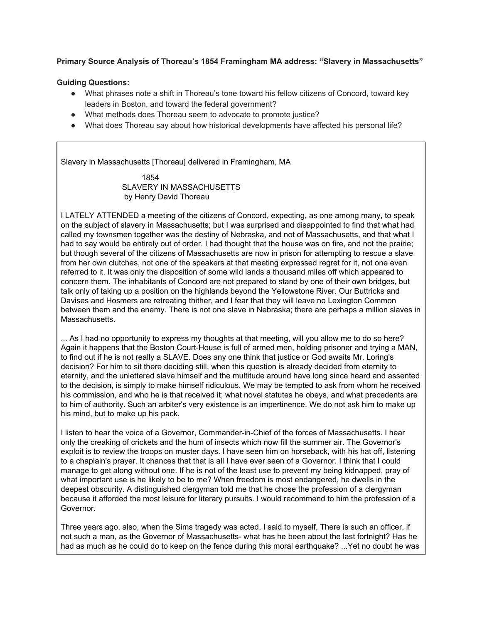### **Primary Source Analysis of Thoreau's 1854 Framingham MA address: "Slavery in Massachusetts"**

### **Guiding Questions:**

- What phrases note a shift in Thoreau's tone toward his fellow citizens of Concord, toward key leaders in Boston, and toward the federal government?
- What methods does Thoreau seem to advocate to promote justice?
- What does Thoreau say about how historical developments have affected his personal life?

Slavery in Massachusetts [Thoreau] delivered in Framingham, MA

1854 SLAVERY IN MASSACHUSETTS by Henry David Thoreau

I LATELY ATTENDED a meeting of the citizens of Concord, expecting, as one among many, to speak on the subject of slavery in Massachusetts; but I was surprised and disappointed to find that what had called my townsmen together was the destiny of Nebraska, and not of Massachusetts, and that what I had to say would be entirely out of order. I had thought that the house was on fire, and not the prairie; but though several of the citizens of Massachusetts are now in prison for attempting to rescue a slave from her own clutches, not one of the speakers at that meeting expressed regret for it, not one even referred to it. It was only the disposition of some wild lands a thousand miles off which appeared to concern them. The inhabitants of Concord are not prepared to stand by one of their own bridges, but talk only of taking up a position on the highlands beyond the Yellowstone River. Our Buttricks and Davises and Hosmers are retreating thither, and I fear that they will leave no Lexington Common between them and the enemy. There is not one slave in Nebraska; there are perhaps a million slaves in Massachusetts.

... As I had no opportunity to express my thoughts at that meeting, will you allow me to do so here? Again it happens that the Boston Court-House is full of armed men, holding prisoner and trying a MAN, to find out if he is not really a SLAVE. Does any one think that justice or God awaits Mr. Loring's decision? For him to sit there deciding still, when this question is already decided from eternity to eternity, and the unlettered slave himself and the multitude around have long since heard and assented to the decision, is simply to make himself ridiculous. We may be tempted to ask from whom he received his commission, and who he is that received it; what novel statutes he obeys, and what precedents are to him of authority. Such an arbiter's very existence is an impertinence. We do not ask him to make up his mind, but to make up his pack.

I listen to hear the voice of a Governor, Commander-in-Chief of the forces of Massachusetts. I hear only the creaking of crickets and the hum of insects which now fill the summer air. The Governor's exploit is to review the troops on muster days. I have seen him on horseback, with his hat off, listening to a chaplain's prayer. It chances that that is all I have ever seen of a Governor. I think that I could manage to get along without one. If he is not of the least use to prevent my being kidnapped, pray of what important use is he likely to be to me? When freedom is most endangered, he dwells in the deepest obscurity. A distinguished clergyman told me that he chose the profession of a clergyman because it afforded the most leisure for literary pursuits. I would recommend to him the profession of a Governor.

Three years ago, also, when the Sims tragedy was acted, I said to myself, There is such an officer, if not such a man, as the Governor of Massachusetts- what has he been about the last fortnight? Has he had as much as he could do to keep on the fence during this moral earthquake? ...Yet no doubt he was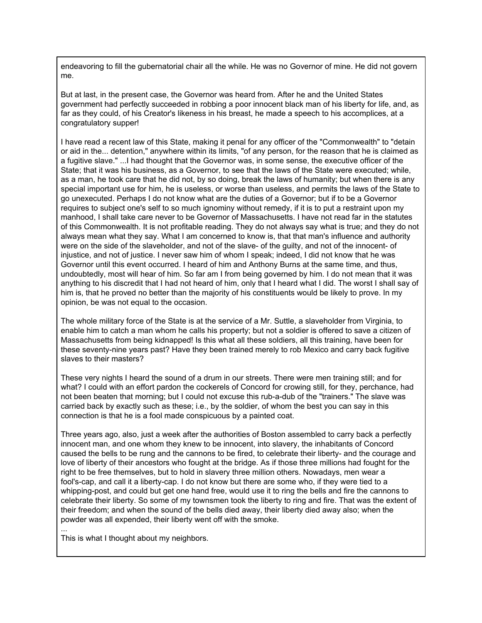endeavoring to fill the gubernatorial chair all the while. He was no Governor of mine. He did not govern me.

But at last, in the present case, the Governor was heard from. After he and the United States government had perfectly succeeded in robbing a poor innocent black man of his liberty for life, and, as far as they could, of his Creator's likeness in his breast, he made a speech to his accomplices, at a congratulatory supper!

I have read a recent law of this State, making it penal for any officer of the "Commonwealth" to "detain or aid in the... detention," anywhere within its limits, "of any person, for the reason that he is claimed as a fugitive slave." ...I had thought that the Governor was, in some sense, the executive officer of the State; that it was his business, as a Governor, to see that the laws of the State were executed; while, as a man, he took care that he did not, by so doing, break the laws of humanity; but when there is any special important use for him, he is useless, or worse than useless, and permits the laws of the State to go unexecuted. Perhaps I do not know what are the duties of a Governor; but if to be a Governor requires to subject one's self to so much ignominy without remedy, if it is to put a restraint upon my manhood, I shall take care never to be Governor of Massachusetts. I have not read far in the statutes of this Commonwealth. It is not profitable reading. They do not always say what is true; and they do not always mean what they say. What I am concerned to know is, that that man's influence and authority were on the side of the slaveholder, and not of the slave- of the guilty, and not of the innocent- of injustice, and not of justice. I never saw him of whom I speak; indeed, I did not know that he was Governor until this event occurred. I heard of him and Anthony Burns at the same time, and thus, undoubtedly, most will hear of him. So far am I from being governed by him. I do not mean that it was anything to his discredit that I had not heard of him, only that I heard what I did. The worst I shall say of him is, that he proved no better than the majority of his constituents would be likely to prove. In my opinion, be was not equal to the occasion.

The whole military force of the State is at the service of a Mr. Suttle, a slaveholder from Virginia, to enable him to catch a man whom he calls his property; but not a soldier is offered to save a citizen of Massachusetts from being kidnapped! Is this what all these soldiers, all this training, have been for these seventy-nine years past? Have they been trained merely to rob Mexico and carry back fugitive slaves to their masters?

These very nights I heard the sound of a drum in our streets. There were men training still; and for what? I could with an effort pardon the cockerels of Concord for crowing still, for they, perchance, had not been beaten that morning; but I could not excuse this rub-a-dub of the "trainers." The slave was carried back by exactly such as these; i.e., by the soldier, of whom the best you can say in this connection is that he is a fool made conspicuous by a painted coat.

Three years ago, also, just a week after the authorities of Boston assembled to carry back a perfectly innocent man, and one whom they knew to be innocent, into slavery, the inhabitants of Concord caused the bells to be rung and the cannons to be fired, to celebrate their liberty- and the courage and love of liberty of their ancestors who fought at the bridge. As if those three millions had fought for the right to be free themselves, but to hold in slavery three million others. Nowadays, men wear a fool's-cap, and call it a liberty-cap. I do not know but there are some who, if they were tied to a whipping-post, and could but get one hand free, would use it to ring the bells and fire the cannons to celebrate their liberty. So some of my townsmen took the liberty to ring and fire. That was the extent of their freedom; and when the sound of the bells died away, their liberty died away also; when the powder was all expended, their liberty went off with the smoke.

This is what I thought about my neighbors.

...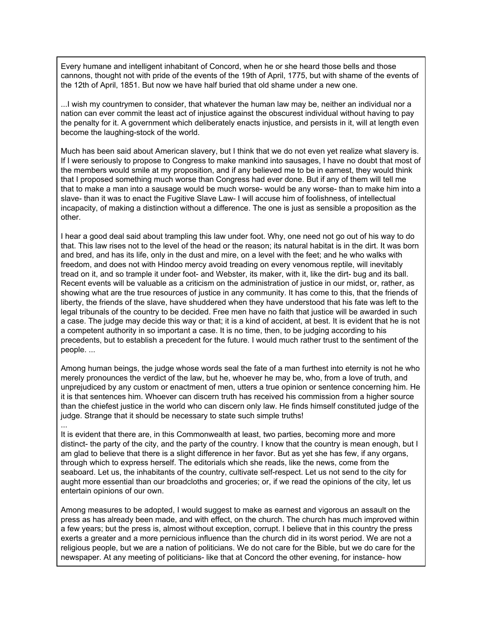Every humane and intelligent inhabitant of Concord, when he or she heard those bells and those cannons, thought not with pride of the events of the 19th of April, 1775, but with shame of the events of the 12th of April, 1851. But now we have half buried that old shame under a new one.

...I wish my countrymen to consider, that whatever the human law may be, neither an individual nor a nation can ever commit the least act of injustice against the obscurest individual without having to pay the penalty for it. A government which deliberately enacts injustice, and persists in it, will at length even become the laughing-stock of the world.

Much has been said about American slavery, but I think that we do not even yet realize what slavery is. If I were seriously to propose to Congress to make mankind into sausages, I have no doubt that most of the members would smile at my proposition, and if any believed me to be in earnest, they would think that I proposed something much worse than Congress had ever done. But if any of them will tell me that to make a man into a sausage would be much worse- would be any worse- than to make him into a slave- than it was to enact the Fugitive Slave Law- I will accuse him of foolishness, of intellectual incapacity, of making a distinction without a difference. The one is just as sensible a proposition as the other.

I hear a good deal said about trampling this law under foot. Why, one need not go out of his way to do that. This law rises not to the level of the head or the reason; its natural habitat is in the dirt. It was born and bred, and has its life, only in the dust and mire, on a level with the feet; and he who walks with freedom, and does not with Hindoo mercy avoid treading on every venomous reptile, will inevitably tread on it, and so trample it under foot- and Webster, its maker, with it, like the dirt- bug and its ball. Recent events will be valuable as a criticism on the administration of justice in our midst, or, rather, as showing what are the true resources of justice in any community. It has come to this, that the friends of liberty, the friends of the slave, have shuddered when they have understood that his fate was left to the legal tribunals of the country to be decided. Free men have no faith that justice will be awarded in such a case. The judge may decide this way or that; it is a kind of accident, at best. It is evident that he is not a competent authority in so important a case. It is no time, then, to be judging according to his precedents, but to establish a precedent for the future. I would much rather trust to the sentiment of the people. ...

Among human beings, the judge whose words seal the fate of a man furthest into eternity is not he who merely pronounces the verdict of the law, but he, whoever he may be, who, from a love of truth, and unprejudiced by any custom or enactment of men, utters a true opinion or sentence concerning him. He it is that sentences him. Whoever can discern truth has received his commission from a higher source than the chiefest justice in the world who can discern only law. He finds himself constituted judge of the judge. Strange that it should be necessary to state such simple truths!

It is evident that there are, in this Commonwealth at least, two parties, becoming more and more distinct- the party of the city, and the party of the country. I know that the country is mean enough, but I am glad to believe that there is a slight difference in her favor. But as yet she has few, if any organs, through which to express herself. The editorials which she reads, like the news, come from the seaboard. Let us, the inhabitants of the country, cultivate self-respect. Let us not send to the city for aught more essential than our broadcloths and groceries; or, if we read the opinions of the city, let us entertain opinions of our own.

...

Among measures to be adopted, I would suggest to make as earnest and vigorous an assault on the press as has already been made, and with effect, on the church. The church has much improved within a few years; but the press is, almost without exception, corrupt. I believe that in this country the press exerts a greater and a more pernicious influence than the church did in its worst period. We are not a religious people, but we are a nation of politicians. We do not care for the Bible, but we do care for the newspaper. At any meeting of politicians- like that at Concord the other evening, for instance- how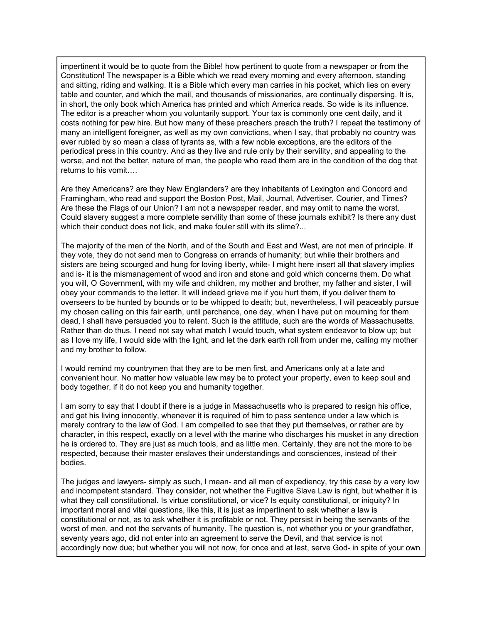impertinent it would be to quote from the Bible! how pertinent to quote from a newspaper or from the Constitution! The newspaper is a Bible which we read every morning and every afternoon, standing and sitting, riding and walking. It is a Bible which every man carries in his pocket, which lies on every table and counter, and which the mail, and thousands of missionaries, are continually dispersing. It is, in short, the only book which America has printed and which America reads. So wide is its influence. The editor is a preacher whom you voluntarily support. Your tax is commonly one cent daily, and it costs nothing for pew hire. But how many of these preachers preach the truth? I repeat the testimony of many an intelligent foreigner, as well as my own convictions, when I say, that probably no country was ever rubled by so mean a class of tyrants as, with a few noble exceptions, are the editors of the periodical press in this country. And as they live and rule only by their servility, and appealing to the worse, and not the better, nature of man, the people who read them are in the condition of the dog that returns to his vomit….

Are they Americans? are they New Englanders? are they inhabitants of Lexington and Concord and Framingham, who read and support the Boston Post, Mail, Journal, Advertiser, Courier, and Times? Are these the Flags of our Union? I am not a newspaper reader, and may omit to name the worst. Could slavery suggest a more complete servility than some of these journals exhibit? Is there any dust which their conduct does not lick, and make fouler still with its slime?...

The majority of the men of the North, and of the South and East and West, are not men of principle. If they vote, they do not send men to Congress on errands of humanity; but while their brothers and sisters are being scourged and hung for loving liberty, while- I might here insert all that slavery implies and is- it is the mismanagement of wood and iron and stone and gold which concerns them. Do what you will, O Government, with my wife and children, my mother and brother, my father and sister, I will obey your commands to the letter. It will indeed grieve me if you hurt them, if you deliver them to overseers to be hunted by bounds or to be whipped to death; but, nevertheless, I will peaceably pursue my chosen calling on this fair earth, until perchance, one day, when I have put on mourning for them dead, I shall have persuaded you to relent. Such is the attitude, such are the words of Massachusetts. Rather than do thus, I need not say what match I would touch, what system endeavor to blow up; but as I love my life, I would side with the light, and let the dark earth roll from under me, calling my mother and my brother to follow.

I would remind my countrymen that they are to be men first, and Americans only at a late and convenient hour. No matter how valuable law may be to protect your property, even to keep soul and body together, if it do not keep you and humanity together.

I am sorry to say that I doubt if there is a judge in Massachusetts who is prepared to resign his office, and get his living innocently, whenever it is required of him to pass sentence under a law which is merely contrary to the law of God. I am compelled to see that they put themselves, or rather are by character, in this respect, exactly on a level with the marine who discharges his musket in any direction he is ordered to. They are just as much tools, and as little men. Certainly, they are not the more to be respected, because their master enslaves their understandings and consciences, instead of their bodies.

The judges and lawyers- simply as such, I mean- and all men of expediency, try this case by a very low and incompetent standard. They consider, not whether the Fugitive Slave Law is right, but whether it is what they call constitutional. Is virtue constitutional, or vice? Is equity constitutional, or iniquity? In important moral and vital questions, like this, it is just as impertinent to ask whether a law is constitutional or not, as to ask whether it is profitable or not. They persist in being the servants of the worst of men, and not the servants of humanity. The question is, not whether you or your grandfather, seventy years ago, did not enter into an agreement to serve the Devil, and that service is not accordingly now due; but whether you will not now, for once and at last, serve God- in spite of your own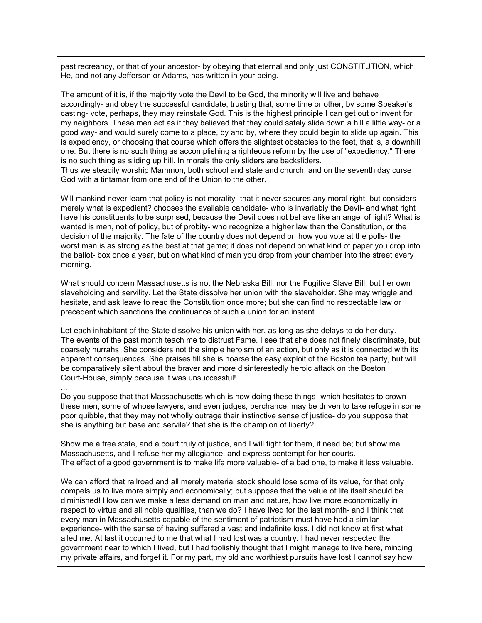past recreancy, or that of your ancestor- by obeying that eternal and only just CONSTITUTION, which He, and not any Jefferson or Adams, has written in your being.

The amount of it is, if the majority vote the Devil to be God, the minority will live and behave accordingly- and obey the successful candidate, trusting that, some time or other, by some Speaker's casting- vote, perhaps, they may reinstate God. This is the highest principle I can get out or invent for my neighbors. These men act as if they believed that they could safely slide down a hill a little way- or a good way- and would surely come to a place, by and by, where they could begin to slide up again. This is expediency, or choosing that course which offers the slightest obstacles to the feet, that is, a downhill one. But there is no such thing as accomplishing a righteous reform by the use of "expediency." There is no such thing as sliding up hill. In morals the only sliders are backsliders. Thus we steadily worship Mammon, both school and state and church, and on the seventh day curse

God with a tintamar from one end of the Union to the other.

Will mankind never learn that policy is not morality- that it never secures any moral right, but considers merely what is expedient? chooses the available candidate- who is invariably the Devil- and what right have his constituents to be surprised, because the Devil does not behave like an angel of light? What is wanted is men, not of policy, but of probity- who recognize a higher law than the Constitution, or the decision of the majority. The fate of the country does not depend on how you vote at the polls- the worst man is as strong as the best at that game; it does not depend on what kind of paper you drop into the ballot- box once a year, but on what kind of man you drop from your chamber into the street every morning.

What should concern Massachusetts is not the Nebraska Bill, nor the Fugitive Slave Bill, but her own slaveholding and servility. Let the State dissolve her union with the slaveholder. She may wriggle and hesitate, and ask leave to read the Constitution once more; but she can find no respectable law or precedent which sanctions the continuance of such a union for an instant.

Let each inhabitant of the State dissolve his union with her, as long as she delays to do her duty. The events of the past month teach me to distrust Fame. I see that she does not finely discriminate, but coarsely hurrahs. She considers not the simple heroism of an action, but only as it is connected with its apparent consequences. She praises till she is hoarse the easy exploit of the Boston tea party, but will be comparatively silent about the braver and more disinterestedly heroic attack on the Boston Court-House, simply because it was unsuccessful!

# ...

Do you suppose that that Massachusetts which is now doing these things- which hesitates to crown these men, some of whose lawyers, and even judges, perchance, may be driven to take refuge in some poor quibble, that they may not wholly outrage their instinctive sense of justice- do you suppose that she is anything but base and servile? that she is the champion of liberty?

Show me a free state, and a court truly of justice, and I will fight for them, if need be; but show me Massachusetts, and I refuse her my allegiance, and express contempt for her courts. The effect of a good government is to make life more valuable- of a bad one, to make it less valuable.

We can afford that railroad and all merely material stock should lose some of its value, for that only compels us to live more simply and economically; but suppose that the value of life itself should be diminished! How can we make a less demand on man and nature, how live more economically in respect to virtue and all noble qualities, than we do? I have lived for the last month- and I think that every man in Massachusetts capable of the sentiment of patriotism must have had a similar experience- with the sense of having suffered a vast and indefinite loss. I did not know at first what ailed me. At last it occurred to me that what I had lost was a country. I had never respected the government near to which I lived, but I had foolishly thought that I might manage to live here, minding my private affairs, and forget it. For my part, my old and worthiest pursuits have lost I cannot say how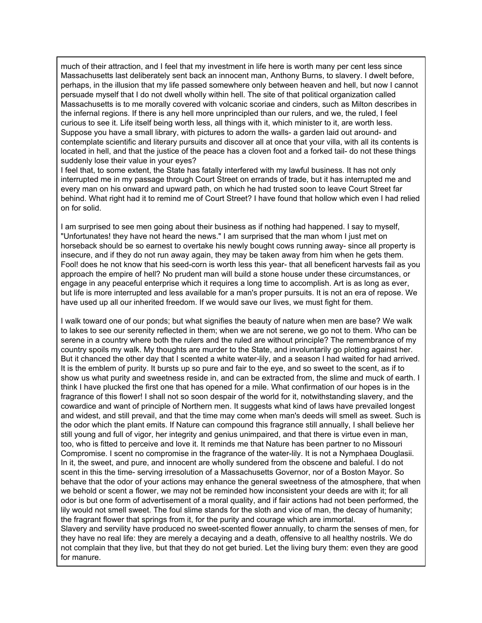much of their attraction, and I feel that my investment in life here is worth many per cent less since Massachusetts last deliberately sent back an innocent man, Anthony Burns, to slavery. I dwelt before, perhaps, in the illusion that my life passed somewhere only between heaven and hell, but now I cannot persuade myself that I do not dwell wholly within hell. The site of that political organization called Massachusetts is to me morally covered with volcanic scoriae and cinders, such as Milton describes in the infernal regions. If there is any hell more unprincipled than our rulers, and we, the ruled, I feel curious to see it. Life itself being worth less, all things with it, which minister to it, are worth less. Suppose you have a small library, with pictures to adorn the walls- a garden laid out around- and contemplate scientific and literary pursuits and discover all at once that your villa, with all its contents is located in hell, and that the justice of the peace has a cloven foot and a forked tail- do not these things suddenly lose their value in your eyes?

I feel that, to some extent, the State has fatally interfered with my lawful business. It has not only interrupted me in my passage through Court Street on errands of trade, but it has interrupted me and every man on his onward and upward path, on which he had trusted soon to leave Court Street far behind. What right had it to remind me of Court Street? I have found that hollow which even I had relied on for solid.

I am surprised to see men going about their business as if nothing had happened. I say to myself, "Unfortunates! they have not heard the news." I am surprised that the man whom I just met on horseback should be so earnest to overtake his newly bought cows running away- since all property is insecure, and if they do not run away again, they may be taken away from him when he gets them. Fool! does he not know that his seed-corn is worth less this year- that all beneficent harvests fail as you approach the empire of hell? No prudent man will build a stone house under these circumstances, or engage in any peaceful enterprise which it requires a long time to accomplish. Art is as long as ever, but life is more interrupted and less available for a man's proper pursuits. It is not an era of repose. We have used up all our inherited freedom. If we would save our lives, we must fight for them.

I walk toward one of our ponds; but what signifies the beauty of nature when men are base? We walk to lakes to see our serenity reflected in them; when we are not serene, we go not to them. Who can be serene in a country where both the rulers and the ruled are without principle? The remembrance of my country spoils my walk. My thoughts are murder to the State, and involuntarily go plotting against her. But it chanced the other day that I scented a white water-lily, and a season I had waited for had arrived. It is the emblem of purity. It bursts up so pure and fair to the eye, and so sweet to the scent, as if to show us what purity and sweetness reside in, and can be extracted from, the slime and muck of earth. I think I have plucked the first one that has opened for a mile. What confirmation of our hopes is in the fragrance of this flower! I shall not so soon despair of the world for it, notwithstanding slavery, and the cowardice and want of principle of Northern men. It suggests what kind of laws have prevailed longest and widest, and still prevail, and that the time may come when man's deeds will smell as sweet. Such is the odor which the plant emits. If Nature can compound this fragrance still annually, I shall believe her still young and full of vigor, her integrity and genius unimpaired, and that there is virtue even in man, too, who is fitted to perceive and love it. It reminds me that Nature has been partner to no Missouri Compromise. I scent no compromise in the fragrance of the water-lily. It is not a Nymphaea Douglasii. In it, the sweet, and pure, and innocent are wholly sundered from the obscene and baleful. I do not scent in this the time- serving irresolution of a Massachusetts Governor, nor of a Boston Mayor. So behave that the odor of your actions may enhance the general sweetness of the atmosphere, that when we behold or scent a flower, we may not be reminded how inconsistent your deeds are with it; for all odor is but one form of advertisement of a moral quality, and if fair actions had not been performed, the lily would not smell sweet. The foul slime stands for the sloth and vice of man, the decay of humanity; the fragrant flower that springs from it, for the purity and courage which are immortal. Slavery and servility have produced no sweet-scented flower annually, to charm the senses of men, for they have no real life: they are merely a decaying and a death, offensive to all healthy nostrils. We do not complain that they live, but that they do not get buried. Let the living bury them: even they are good for manure.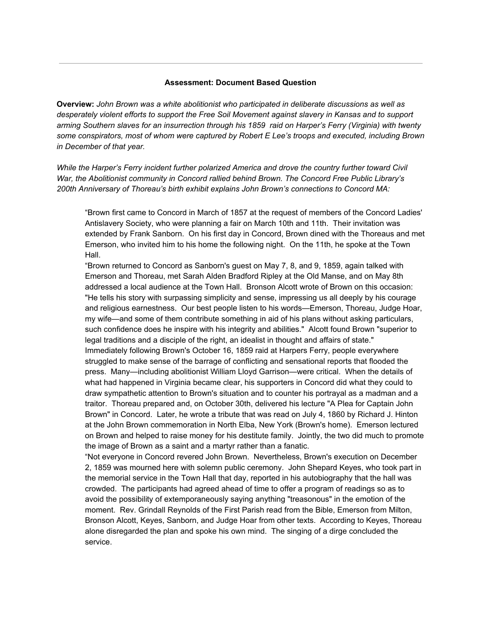#### **Assessment: Document Based Question**

**Overview:** *John Brown was a white abolitionist who participated in deliberate discussions as well as desperately violent efforts to support the Free Soil Movement against slavery in Kansas and to support arming Southern slaves for an insurrection through his 1859 raid on Harper's Ferry (Virginia) with twenty some conspirators, most of whom were captured by Robert E Lee's troops and executed, including Brown in December of that year.*

*While the Harper's Ferry incident further polarized America and drove the country further toward Civil War, the Abolitionist community in Concord rallied behind Brown. The Concord Free Public Library's 200th Anniversary of Thoreau's birth exhibit explains John Brown's connections to Concord MA:*

"Brown first came to Concord in March of 1857 at the request of members of the Concord Ladies' Antislavery Society, who were planning a fair on March 10th and 11th. Their invitation was extended by Frank Sanborn. On his first day in Concord, Brown dined with the Thoreaus and met Emerson, who invited him to his home the following night. On the 11th, he spoke at the Town Hall.

"Brown returned to Concord as Sanborn's guest on May 7, 8, and 9, 1859, again talked with Emerson and Thoreau, met Sarah Alden Bradford Ripley at the Old Manse, and on May 8th addressed a local audience at the Town Hall. Bronson Alcott wrote of Brown on this occasion: "He tells his story with surpassing simplicity and sense, impressing us all deeply by his courage and religious earnestness. Our best people listen to his words—Emerson, Thoreau, Judge Hoar, my wife—and some of them contribute something in aid of his plans without asking particulars, such confidence does he inspire with his integrity and abilities." Alcott found Brown "superior to legal traditions and a disciple of the right, an idealist in thought and affairs of state." Immediately following Brown's October 16, 1859 raid at Harpers Ferry, people everywhere struggled to make sense of the barrage of conflicting and sensational reports that flooded the press. Many—including abolitionist William Lloyd Garrison—were critical. When the details of what had happened in Virginia became clear, his supporters in Concord did what they could to draw sympathetic attention to Brown's situation and to counter his portrayal as a madman and a traitor. Thoreau prepared and, on October 30th, delivered his lecture "A Plea for Captain John Brown" in Concord. Later, he wrote a tribute that was read on July 4, 1860 by Richard J. Hinton at the John Brown commemoration in North Elba, New York (Brown's home). Emerson lectured on Brown and helped to raise money for his destitute family. Jointly, the two did much to promote the image of Brown as a saint and a martyr rather than a fanatic.

"Not everyone in Concord revered John Brown. Nevertheless, Brown's execution on December 2, 1859 was mourned here with solemn public ceremony. John Shepard Keyes, who took part in the memorial service in the Town Hall that day, reported in his autobiography that the hall was crowded. The participants had agreed ahead of time to offer a program of readings so as to avoid the possibility of extemporaneously saying anything "treasonous" in the emotion of the moment. Rev. Grindall Reynolds of the First Parish read from the Bible, Emerson from Milton, Bronson Alcott, Keyes, Sanborn, and Judge Hoar from other texts. According to Keyes, Thoreau alone disregarded the plan and spoke his own mind. The singing of a dirge concluded the service.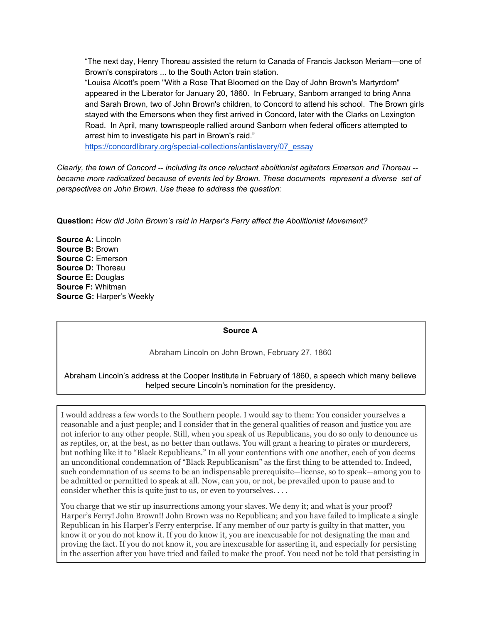"The next day, Henry Thoreau assisted the return to Canada of Francis Jackson Meriam—one of Brown's conspirators ... to the South Acton train station.

"Louisa Alcott's poem "With a Rose That Bloomed on the Day of John Brown's Martyrdom" appeared in the Liberator for January 20, 1860. In February, Sanborn arranged to bring Anna and Sarah Brown, two of John Brown's children, to Concord to attend his school. The Brown girls stayed with the Emersons when they first arrived in Concord, later with the Clarks on Lexington Road. In April, many townspeople rallied around Sanborn when federal officers attempted to arrest him to investigate his part in Brown's raid."

[https://concordlibrary.org/special-collections/antislavery/07\\_essay](https://concordlibrary.org/special-collections/antislavery/07_essay)

*Clearly, the town of Concord -- including its once reluctant abolitionist agitators Emerson and Thoreau - became more radicalized because of events led by Brown. These documents represent a diverse set of perspectives on John Brown. Use these to address the question:*

**Question:** *How did John Brown's raid in Harper's Ferry affect the Abolitionist Movement?*

**Source A:** Lincoln **Source B:** Brown **Source C:** Emerson **Source D:** Thoreau **Source E:** Douglas **Source F:** Whitman **Source G:** Harper's Weekly

**Source A**

Abraham Lincoln on John Brown, February 27, 1860

Abraham Lincoln's address at the Cooper Institute in February of 1860, a speech which many believe helped secure Lincoln's nomination for the presidency.

I would address a few words to the Southern people. I would say to them: You consider yourselves a reasonable and a just people; and I consider that in the general qualities of reason and justice you are not inferior to any other people. Still, when you speak of us Republicans, you do so only to denounce us as reptiles, or, at the best, as no better than outlaws. You will grant a hearing to pirates or murderers, but nothing like it to "Black Republicans." In all your contentions with one another, each of you deems an unconditional condemnation of "Black Republicanism" as the first thing to be attended to. Indeed, such condemnation of us seems to be an indispensable prerequisite—license, so to speak—among you to be admitted or permitted to speak at all. Now, can you, or not, be prevailed upon to pause and to consider whether this is quite just to us, or even to yourselves. . . .

You charge that we stir up insurrections among your slaves. We deny it; and what is your proof? Harper's Ferry! John Brown!! John Brown was no Republican; and you have failed to implicate a single Republican in his Harper's Ferry enterprise. If any member of our party is guilty in that matter, you know it or you do not know it. If you do know it, you are inexcusable for not designating the man and proving the fact. If you do not know it, you are inexcusable for asserting it, and especially for persisting in the assertion after you have tried and failed to make the proof. You need not be told that persisting in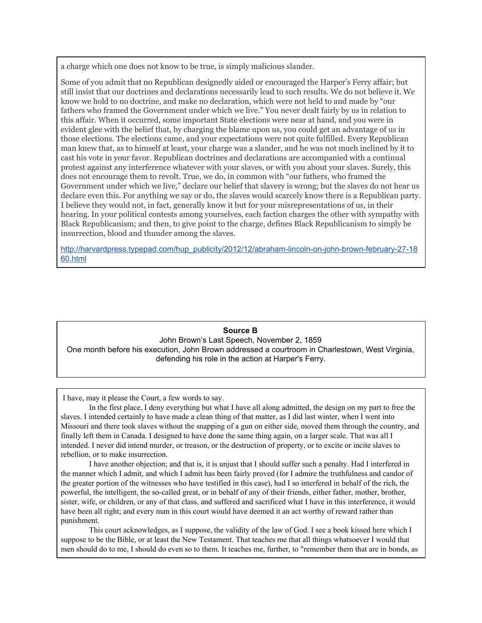a charge which one does not know to be true, is simply malicious slander.

Some of you admit that no Republican designedly aided or encouraged the Harper's Ferry affair; but still insist that our doctrines and declarations necessarily lead to such results. We do not believe it. We know we hold to no doctrine, and make no declaration, which were not held to and made by "our fathers who framed the Government under which we live." You never dealt fairly by us in relation to this affair. When it occurred, some important State elections were near at hand, and you were in evident glee with the belief that, by charging the blame upon us, you could get an advantage of us in those elections. The elections came, and your expectations were not quite fulfilled. Every Republican man knew that, as to himself at least, your charge was a slander, and he was not much inclined by it to cast his vote in your favor. Republican doctrines and declarations are accompanied with a continual protest against any interference whatever with your slaves, or with you about your slaves. Surely, this does not encourage them to revolt. True, we do, in common with "our fathers, who framed the Government under which we live," declare our belief that slavery is wrong; but the slaves do not hear us declare even this. For anything we say or do, the slaves would scarcely know there is a Republican party. I believe they would not, in fact, generally know it but for your misrepresentations of us, in their hearing. In your political contests among yourselves, each faction charges the other with sympathy with Black Republicanism; and then, to give point to the charge, defines Black Republicanism to simply be insurrection, blood and thunder among the slaves.

[http://harvardpress.typepad.com/hup\\_publicity/2012/12/abraham-lincoln-on-john-brown-february-27-18](http://harvardpress.typepad.com/hup_publicity/2012/12/abraham-lincoln-on-john-brown-february-27-1860.html) [60.html](http://harvardpress.typepad.com/hup_publicity/2012/12/abraham-lincoln-on-john-brown-february-27-1860.html)

**Source B** John Brown's Last Speech, November 2, 1859 One month before his execution, John Brown addressed a courtroom in Charlestown, West Virginia, defending his role in the action at Harper's Ferry.

I have, may it please the Court, a few words to say.

In the first place, I deny everything but what I have all along admitted, the design on my part to free the slaves. I intended certainly to have made a clean thing of that matter, as I did last winter, when I went into Missouri and there took slaves without the snapping of a gun on either side, moved them through the country, and finally left them in Canada. I designed to have done the same thing again, on a larger scale. That was all I intended. I never did intend murder, or treason, or the destruction of property, or to excite or incite slaves to rebellion, or to make insurrection.

I have another objection; and that is, it is unjust that I should suffer such a penalty. Had I interfered in the manner which I admit, and which I admit has been fairly proved (for I admire the truthfulness and candor of the greater portion of the witnesses who have testified in this case), had I so interfered in behalf of the rich, the powerful, the intelligent, the so-called great, or in behalf of any of their friends, either father, mother, brother, sister, wife, or children, or any of that class, and suffered and sacrificed what I have in this interference, it would have been all right; and every man in this court would have deemed it an act worthy of reward rather than punishment.

This court acknowledges, as I suppose, the validity of the law of God. I see a book kissed here which I suppose to be the Bible, or at least the New Testament. That teaches me that all things whatsoever I would that men should do to me, I should do even so to them. It teaches me, further, to "remember them that are in bonds, as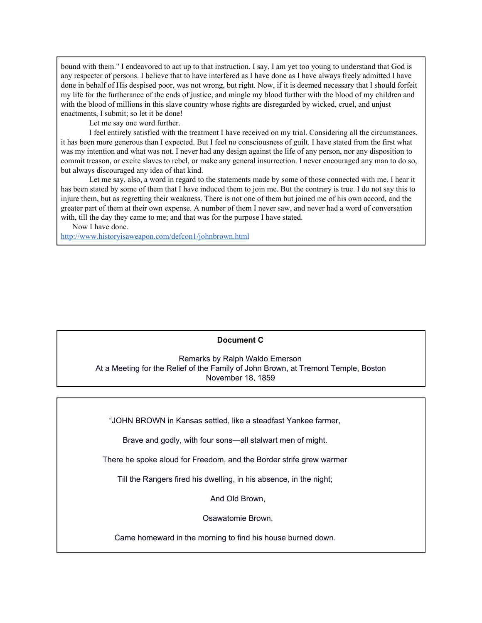bound with them." I endeavored to act up to that instruction. I say, I am yet too young to understand that God is any respecter of persons. I believe that to have interfered as I have done as I have always freely admitted I have done in behalf of His despised poor, was not wrong, but right. Now, if it is deemed necessary that I should forfeit my life for the furtherance of the ends of justice, and mingle my blood further with the blood of my children and with the blood of millions in this slave country whose rights are disregarded by wicked, cruel, and unjust enactments, I submit; so let it be done!

Let me say one word further.

I feel entirely satisfied with the treatment I have received on my trial. Considering all the circumstances. it has been more generous than I expected. But I feel no consciousness of guilt. I have stated from the first what was my intention and what was not. I never had any design against the life of any person, nor any disposition to commit treason, or excite slaves to rebel, or make any general insurrection. I never encouraged any man to do so, but always discouraged any idea of that kind.

Let me say, also, a word in regard to the statements made by some of those connected with me. I hear it has been stated by some of them that I have induced them to join me. But the contrary is true. I do not say this to injure them, but as regretting their weakness. There is not one of them but joined me of his own accord, and the greater part of them at their own expense. A number of them I never saw, and never had a word of conversation with, till the day they came to me; and that was for the purpose I have stated.

Now I have done.

<http://www.historyisaweapon.com/defcon1/johnbrown.html>

**Document C**

Remarks by Ralph Waldo Emerson At a Meeting for the Relief of the Family of John Brown, at Tremont Temple, Boston November 18, 1859

"JOHN BROWN in Kansas settled, like a steadfast Yankee farmer,

Brave and godly, with four sons—all stalwart men of might.

There he spoke aloud for Freedom, and the Border strife grew warmer

Till the Rangers fired his dwelling, in his absence, in the night;

And Old Brown,

Osawatomie Brown,

Came homeward in the morning to find his house burned down.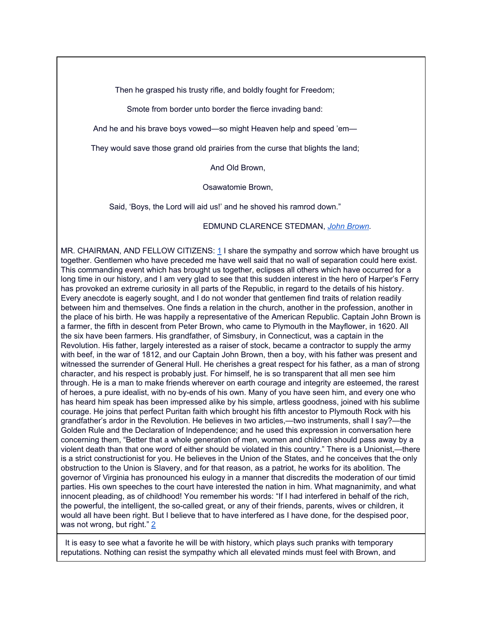Then he grasped his trusty rifle, and boldly fought for Freedom;

Smote from border unto border the fierce invading band:

And he and his brave boys vowed—so might Heaven help and speed 'em—

They would save those grand old prairies from the curse that blights the land;

And Old Brown,

Osawatomie Brown,

Said, 'Boys, the Lord will aid us!' and he shoved his ramrod down."

#### EDMUND CLARENCE STEDMAN, *John [Brown.](http://www.bartleby.com/270/13/451.html)*

MR. CHAIRMAN, AND FELLOW CITIZENS: [1](http://www.bartleby.com/90/1110.html#note1110.1) I share the sympathy and sorrow which have brought us together. Gentlemen who have preceded me have well said that no wall of separation could here exist. This commanding event which has brought us together, eclipses all others which have occurred for a long time in our history, and I am very glad to see that this sudden interest in the hero of Harper's Ferry has provoked an extreme curiosity in all parts of the Republic, in regard to the details of his history. Every anecdote is eagerly sought, and I do not wonder that gentlemen find traits of relation readily between him and themselves. One finds a relation in the church, another in the profession, another in the place of his birth. He was happily a representative of the American Republic. Captain John Brown is a farmer, the fifth in descent from Peter Brown, who came to Plymouth in the Mayflower, in 1620. All the six have been farmers. His grandfather, of Simsbury, in Connecticut, was a captain in the Revolution. His father, largely interested as a raiser of stock, became a contractor to supply the army with beef, in the war of 1812, and our Captain John Brown, then a boy, with his father was present and witnessed the surrender of General Hull. He cherishes a great respect for his father, as a man of strong character, and his respect is probably just. For himself, he is so transparent that all men see him through. He is a man to make friends wherever on earth courage and integrity are esteemed, the rarest of heroes, a pure idealist, with no by-ends of his own. Many of you have seen him, and every one who has heard him speak has been impressed alike by his simple, artless goodness, joined with his sublime courage. He joins that perfect Puritan faith which brought his fifth ancestor to Plymouth Rock with his grandfather's ardor in the Revolution. He believes in two articles,—two instruments, shall I say?—the Golden Rule and the Declaration of Independence; and he used this expression in conversation here concerning them, "Better that a whole generation of men, women and children should pass away by a violent death than that one word of either should be violated in this country." There is a Unionist,—there is a strict constructionist for you. He believes in the Union of the States, and he conceives that the only obstruction to the Union is Slavery, and for that reason, as a patriot, he works for its abolition. The governor of Virginia has pronounced his eulogy in a manner that discredits the moderation of our timid parties. His own speeches to the court have interested the nation in him. What magnanimity, and what innocent pleading, as of childhood! You remember his words: "If I had interfered in behalf of the rich, the powerful, the intelligent, the so-called great, or any of their friends, parents, wives or children, it would all have been right. But I believe that to have interfered as I have done, for the despised poor, was not wrong, but right." [2](http://www.bartleby.com/90/1110.html#note1110.2)

It is easy to see what a favorite he will be with history, which plays such pranks with temporary reputations. Nothing can resist the sympathy which all elevated minds must feel with Brown, and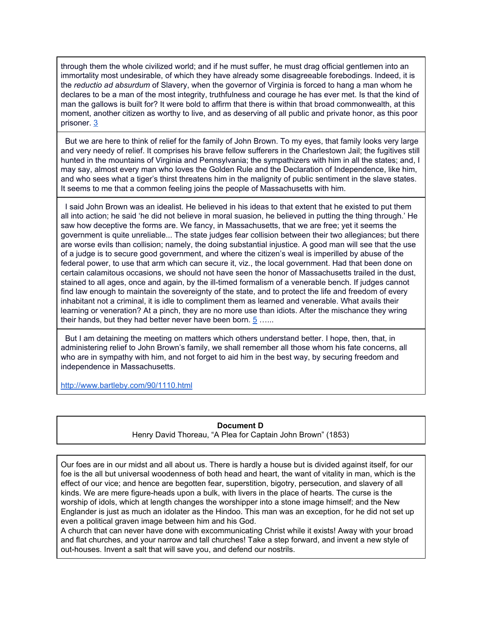through them the whole civilized world; and if he must suffer, he must drag official gentlemen into an immortality most undesirable, of which they have already some disagreeable forebodings. Indeed, it is the *reductio ad absurdum* of Slavery, when the governor of Virginia is forced to hang a man whom he declares to be a man of the most integrity, truthfulness and courage he has ever met. Is that the kind of man the gallows is built for? It were bold to affirm that there is within that broad commonwealth, at this moment, another citizen as worthy to live, and as deserving of all public and private honor, as this poor prisoner. [3](http://www.bartleby.com/90/1110.html#note1110.3)

But we are here to think of relief for the family of John Brown. To my eyes, that family looks very large and very needy of relief. It comprises his brave fellow sufferers in the Charlestown Jail; the fugitives still hunted in the mountains of Virginia and Pennsylvania; the sympathizers with him in all the states; and, I may say, almost every man who loves the Golden Rule and the Declaration of Independence, like him, and who sees what a tiger's thirst threatens him in the malignity of public sentiment in the slave states. It seems to me that a common feeling joins the people of Massachusetts with him.

I said John Brown was an idealist. He believed in his ideas to that extent that he existed to put them all into action; he said 'he did not believe in moral suasion, he believed in putting the thing through.' He saw how deceptive the forms are. We fancy, in Massachusetts, that we are free; yet it seems the government is quite unreliable... The state judges fear collision between their two allegiances; but there are worse evils than collision; namely, the doing substantial injustice. A good man will see that the use of a judge is to secure good government, and where the citizen's weal is imperilled by abuse of the federal power, to use that arm which can secure it, viz., the local government. Had that been done on certain calamitous occasions, we should not have seen the honor of Massachusetts trailed in the dust, stained to all ages, once and again, by the ill-timed formalism of a venerable bench. If judges cannot find law enough to maintain the sovereignty of the state, and to protect the life and freedom of every inhabitant not a criminal, it is idle to compliment them as learned and venerable. What avails their learning or veneration? At a pinch, they are no more use than idiots. After the mischance they wring their hands, but they had better never have been born. [5](http://www.bartleby.com/90/1110.html#note1110.5) …...

But I am detaining the meeting on matters which others understand better. I hope, then, that, in administering relief to John Brown's family, we shall remember all those whom his fate concerns, all who are in sympathy with him, and not forget to aid him in the best way, by securing freedom and independence in Massachusetts.

<http://www.bartleby.com/90/1110.html>

#### **Document D**

Henry David Thoreau, "A Plea for Captain John Brown" (1853)

Our foes are in our midst and all about us. There is hardly a house but is divided against itself, for our foe is the all but universal woodenness of both head and heart, the want of vitality in man, which is the effect of our vice; and hence are begotten fear, superstition, bigotry, persecution, and slavery of all kinds. We are mere figure-heads upon a bulk, with livers in the place of hearts. The curse is the worship of idols, which at length changes the worshipper into a stone image himself; and the New Englander is just as much an idolater as the Hindoo. This man was an exception, for he did not set up even a political graven image between him and his God.

A church that can never have done with excommunicating Christ while it exists! Away with your broad and flat churches, and your narrow and tall churches! Take a step forward, and invent a new style of out-houses. Invent a salt that will save you, and defend our nostrils.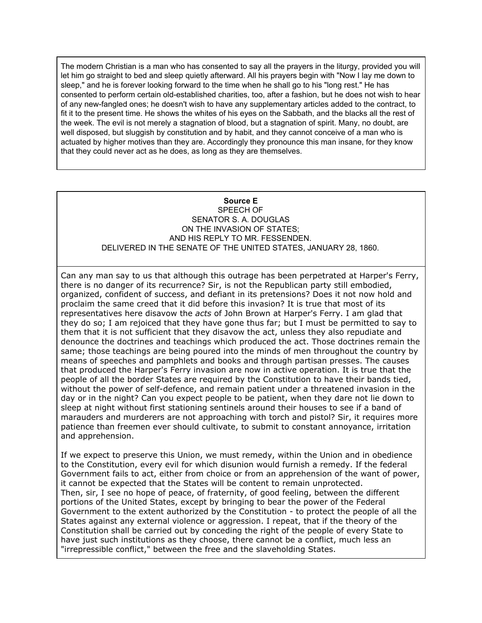The modern Christian is a man who has consented to say all the prayers in the liturgy, provided you will let him go straight to bed and sleep quietly afterward. All his prayers begin with "Now I lay me down to sleep," and he is forever looking forward to the time when he shall go to his "long rest." He has consented to perform certain old-established charities, too, after a fashion, but he does not wish to hear of any new-fangled ones; he doesn't wish to have any supplementary articles added to the contract, to fit it to the present time. He shows the whites of his eyes on the Sabbath, and the blacks all the rest of the week. The evil is not merely a stagnation of blood, but a stagnation of spirit. Many, no doubt, are well disposed, but sluggish by constitution and by habit, and they cannot conceive of a man who is actuated by higher motives than they are. Accordingly they pronounce this man insane, for they know that they could never act as he does, as long as they are themselves.

### **Source E** SPEECH OF SENATOR S. A. DOUGLAS ON THE INVASION OF STATES; AND HIS REPLY TO MR. FESSENDEN. DELIVERED IN THE SENATE OF THE UNITED STATES, JANUARY 28, 1860.

Can any man say to us that although this outrage has been perpetrated at Harper's Ferry, there is no danger of its recurrence? Sir, is not the Republican party still embodied, organized, confident of success, and defiant in its pretensions? Does it not now hold and proclaim the same creed that it did before this invasion? It is true that most of its representatives here disavow the *acts* of John Brown at Harper's Ferry. I am glad that they do so; I am rejoiced that they have gone thus far; but I must be permitted to say to them that it is not sufficient that they disavow the act, unless they also repudiate and denounce the doctrines and teachings which produced the act. Those doctrines remain the same; those teachings are being poured into the minds of men throughout the country by means of speeches and pamphlets and books and through partisan presses. The causes that produced the Harper's Ferry invasion are now in active operation. It is true that the people of all the border States are required by the Constitution to have their bands tied, without the power of self-defence, and remain patient under a threatened invasion in the day or in the night? Can you expect people to be patient, when they dare not lie down to sleep at night without first stationing sentinels around their houses to see if a band of marauders and murderers are not approaching with torch and pistol? Sir, it requires more patience than freemen ever should cultivate, to submit to constant annoyance, irritation and apprehension.

If we expect to preserve this Union, we must remedy, within the Union and in obedience to the Constitution, every evil for which disunion would furnish a remedy. If the federal Government fails to act, either from choice or from an apprehension of the want of power, it cannot be expected that the States will be content to remain unprotected. Then, sir, I see no hope of peace, of fraternity, of good feeling, between the different portions of the United States, except by bringing to bear the power of the Federal Government to the extent authorized by the Constitution - to protect the people of all the States against any external violence or aggression. I repeat, that if the theory of the Constitution shall be carried out by conceding the right of the people of every State to have just such institutions as they choose, there cannot be a conflict, much less an "irrepressible conflict," between the free and the slaveholding States.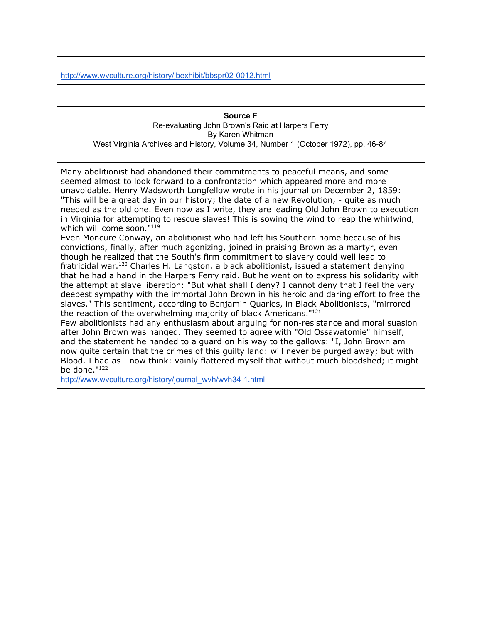### <http://www.wvculture.org/history/jbexhibit/bbspr02-0012.html>

#### **Source F**

Re-evaluating John Brown's Raid at Harpers Ferry By Karen Whitman West Virginia Archives and History, Volume 34, Number 1 (October 1972), pp. 46-84

Many abolitionist had abandoned their commitments to peaceful means, and some seemed almost to look forward to a confrontation which appeared more and more unavoidable. Henry Wadsworth Longfellow wrote in his journal on December 2, 1859: "This will be a great day in our history; the date of a new Revolution, - quite as much needed as the old one. Even now as I write, they are leading Old John Brown to execution in Virginia for attempting to rescue slaves! This is sowing the wind to reap the whirlwind, which will come soon." 119

Even Moncure Conway, an abolitionist who had left his Southern home because of his convictions, finally, after much agonizing, joined in praising Brown as a martyr, even though he realized that the South's firm commitment to slavery could well lead to fratricidal war. <sup>120</sup> Charles H. Langston, a black abolitionist, issued a statement denying that he had a hand in the Harpers Ferry raid. But he went on to express his solidarity with the attempt at slave liberation: "But what shall I deny? I cannot deny that I feel the very deepest sympathy with the immortal John Brown in his heroic and daring effort to free the slaves." This sentiment, according to Benjamin Quarles, in Black Abolitionists, "mirrored the reaction of the overwhelming majority of black Americans."<sup>121</sup>

Few abolitionists had any enthusiasm about arguing for non-resistance and moral suasion after John Brown was hanged. They seemed to agree with "Old Ossawatomie" himself, and the statement he handed to a guard on his way to the gallows: "I, John Brown am now quite certain that the crimes of this guilty land: will never be purged away; but with Blood. I had as I now think: vainly flattered myself that without much bloodshed; it might be done." 122

[http://www.wvculture.org/history/journal\\_wvh/wvh34-1.html](http://www.wvculture.org/history/journal_wvh/wvh34-1.html)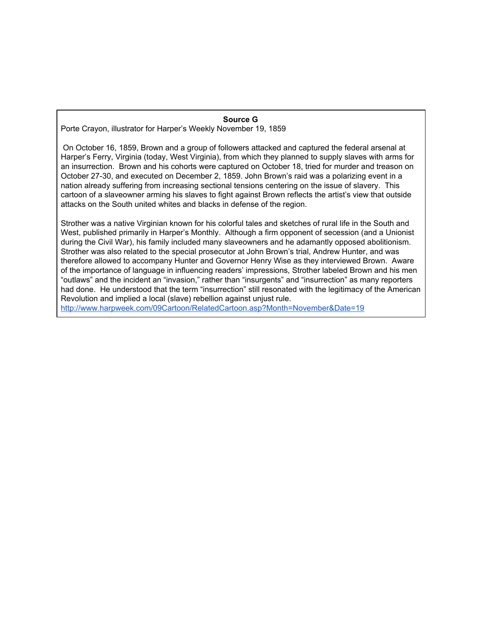#### **Source G**

Porte Crayon, illustrator for Harper's Weekly November 19, 1859

On October 16, 1859, Brown and a group of followers attacked and captured the federal arsenal at Harper's Ferry, Virginia (today, West Virginia), from which they planned to supply slaves with arms for an insurrection. Brown and his cohorts were captured on October 18, tried for murder and treason on October 27-30, and executed on December 2, 1859. John Brown's raid was a polarizing event in a nation already suffering from increasing sectional tensions centering on the issue of slavery. This cartoon of a slaveowner arming his slaves to fight against Brown reflects the artist's view that outside attacks on the South united whites and blacks in defense of the region.

Strother was a native Virginian known for his colorful tales and sketches of rural life in the South and West, published primarily in Harper's Monthly. Although a firm opponent of secession (and a Unionist during the Civil War), his family included many slaveowners and he adamantly opposed abolitionism. Strother was also related to the special prosecutor at John Brown's trial, Andrew Hunter, and was therefore allowed to accompany Hunter and Governor Henry Wise as they interviewed Brown. Aware of the importance of language in influencing readers' impressions, Strother labeled Brown and his men "outlaws" and the incident an "invasion," rather than "insurgents" and "insurrection" as many reporters had done. He understood that the term "insurrection" still resonated with the legitimacy of the American Revolution and implied a local (slave) rebellion against unjust rule.

<http://www.harpweek.com/09Cartoon/RelatedCartoon.asp?Month=November&Date=19>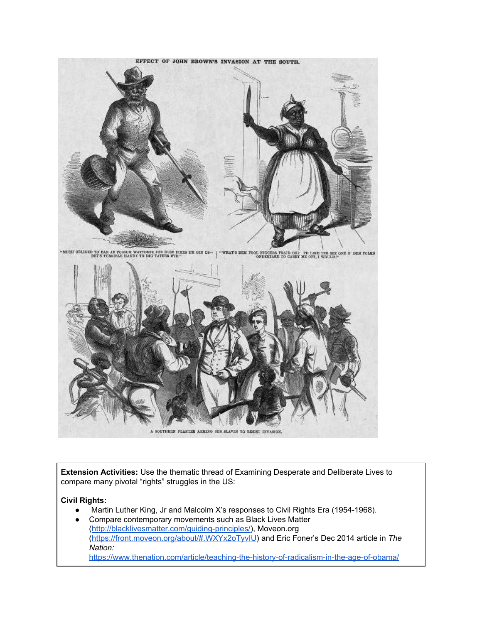



**Extension Activities:** Use the thematic thread of Examining Desperate and Deliberate Lives to compare many pivotal "rights" struggles in the US:

### **Civil Rights:**

- Martin Luther King, Jr and Malcolm X's responses to Civil Rights Era (1954-1968).
- Compare contemporary movements such as Black Lives Matter [\(http://blacklivesmatter.com/guiding-principles/\)](http://blacklivesmatter.com/guiding-principles/), Moveon.org [\(https://front.moveon.org/about/#.WXYx2oTyvIU](https://front.moveon.org/about/#.WXYx2oTyvIU)) and Eric Foner's Dec 2014 article in *The Nation:* <https://www.thenation.com/article/teaching-the-history-of-radicalism-in-the-age-of-obama/>